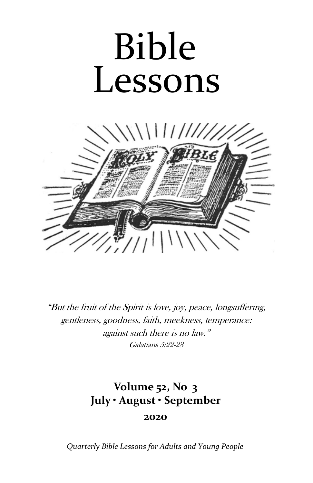# Bible Lessons



"But the fruit of the Spirit is love, joy, peace, longsuffering, gentleness, goodness, faith, meekness, temperance: against such there is no law." Galatians 5:22-23

# **Volume 52, No 3 July • August • September 2020**

*Quarterly Bible Lessons for Adults and Young People*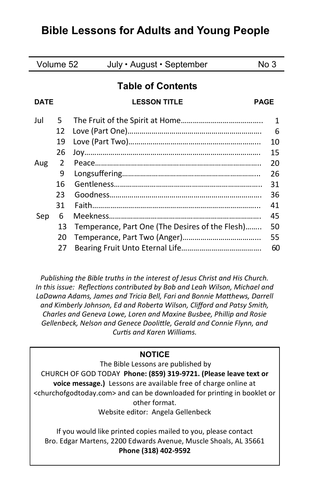# **Bible Lessons for Adults and Young People**

| Volume 52                |    | July • August • September                       | No 3 |
|--------------------------|----|-------------------------------------------------|------|
| <b>Table of Contents</b> |    |                                                 |      |
| <b>DATE</b>              |    | <b>LESSON TITLE</b><br><b>PAGE</b>              |      |
| Jul                      | 5. |                                                 | 1    |
|                          | 12 |                                                 | 6    |
|                          | 19 |                                                 | 10   |
|                          | 26 |                                                 | 15   |
| Aug                      | 2  |                                                 | 20   |
|                          | 9  |                                                 | 26   |
|                          | 16 |                                                 | 31   |
|                          | 23 |                                                 | 36   |
|                          | 31 |                                                 | 41   |
| Sep                      | 6  |                                                 | 45   |
|                          | 13 | Temperance, Part One (The Desires of the Flesh) | 50   |
|                          | 20 |                                                 | 55   |
|                          | 27 |                                                 | 60   |

*Publishing the Bible truths in the interest of Jesus Christ and His Church. In this issue: Reflections contributed by Bob and Leah Wilson, Michael and LaDawna Adams, James and Tricia Bell, Fari and Bonnie Matthews, Darrell and Kimberly Johnson, Ed and Roberta Wilson, Clifford and Patsy Smith, Charles and Geneva Lowe, Loren and Maxine Busbee, Phillip and Rosie Gellenbeck, Nelson and Genece Doolittle, Gerald and Connie Flynn, and Curtis and Karen Williams.* 

#### **NOTICE**

The Bible Lessons are published by CHURCH OF GOD TODAY **Phone: (859) 319-9721. (Please leave text or voice message.)** Lessons are available free of charge online at <churchofgodtoday.com> and can be downloaded for printing in booklet or other format.

Website editor: Angela Gellenbeck

If you would like printed copies mailed to you, please contact Bro. Edgar Martens, 2200 Edwards Avenue, Muscle Shoals, AL 35661 **Phone (318) 402-9592**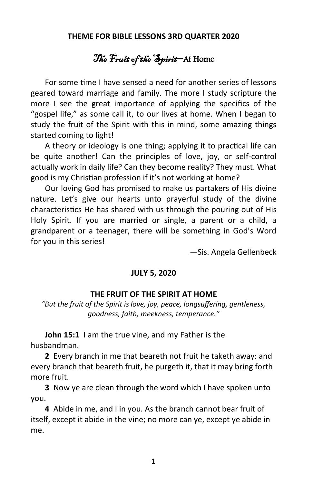#### **THEME FOR BIBLE LESSONS 3RD QUARTER 2020**

# The Fruit of the Spirit-At Home

For some time I have sensed a need for another series of lessons geared toward marriage and family. The more I study scripture the more I see the great importance of applying the specifics of the "gospel life," as some call it, to our lives at home. When I began to study the fruit of the Spirit with this in mind, some amazing things started coming to light!

A theory or ideology is one thing; applying it to practical life can be quite another! Can the principles of love, joy, or self-control actually work in daily life? Can they become reality? They must. What good is my Christian profession if it's not working at home?

Our loving God has promised to make us partakers of His divine nature. Let's give our hearts unto prayerful study of the divine characteristics He has shared with us through the pouring out of His Holy Spirit. If you are married or single, a parent or a child, a grandparent or a teenager, there will be something in God's Word for you in this series!

—Sis. Angela Gellenbeck

#### **JULY 5, 2020**

#### **THE FRUIT OF THE SPIRIT AT HOME**

*"But the fruit of the Spirit is love, joy, peace, longsuffering, gentleness, goodness, faith, meekness, temperance."*

**John 15:1** I am the true vine, and my Father is the husbandman.

**2** Every branch in me that beareth not fruit he taketh away: and every branch that beareth fruit, he purgeth it, that it may bring forth more fruit.

**3** Now ye are clean through the word which I have spoken unto you.

**4** Abide in me, and I in you. As the branch cannot bear fruit of itself, except it abide in the vine; no more can ye, except ye abide in me.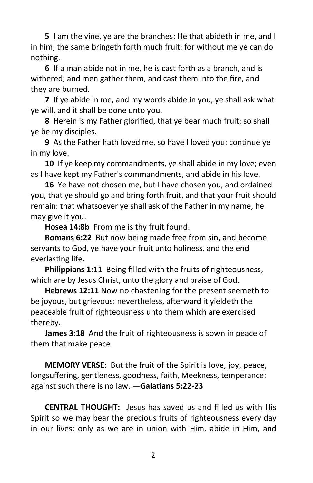**5** I am the vine, ye are the branches: He that abideth in me, and I in him, the same bringeth forth much fruit: for without me ye can do nothing.

**6** If a man abide not in me, he is cast forth as a branch, and is withered; and men gather them, and cast them into the fire, and they are burned.

**7** If ye abide in me, and my words abide in you, ye shall ask what ye will, and it shall be done unto you.

**8** Herein is my Father glorified, that ye bear much fruit; so shall ye be my disciples.

**9** As the Father hath loved me, so have I loved you: continue ye in my love.

**10** If ye keep my commandments, ye shall abide in my love; even as I have kept my Father's commandments, and abide in his love.

**16** Ye have not chosen me, but I have chosen you, and ordained you, that ye should go and bring forth fruit, and that your fruit should remain: that whatsoever ye shall ask of the Father in my name, he may give it you.

**Hosea 14:8b** From me is thy fruit found.

**Romans 6:22** But now being made free from sin, and become servants to God, ye have your fruit unto holiness, and the end everlasting life.

**Philippians 1:**11 Being filled with the fruits of righteousness, which are by Jesus Christ, unto the glory and praise of God.

**Hebrews 12:11** Now no chastening for the present seemeth to be joyous, but grievous: nevertheless, afterward it yieldeth the peaceable fruit of righteousness unto them which are exercised thereby.

**James 3:18** And the fruit of righteousness is sown in peace of them that make peace.

**MEMORY VERSE**: But the fruit of the Spirit is love, joy, peace, longsuffering, gentleness, goodness, faith, Meekness, temperance: against such there is no law. **—Galatians 5:22-23**

**CENTRAL THOUGHT:** Jesus has saved us and filled us with His Spirit so we may bear the precious fruits of righteousness every day in our lives; only as we are in union with Him, abide in Him, and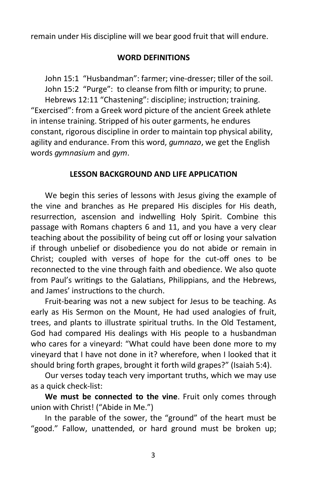remain under His discipline will we bear good fruit that will endure.

# **WORD DEFINITIONS**

John 15:1 "Husbandman": farmer; vine-dresser; tiller of the soil. John 15:2 "Purge": to cleanse from filth or impurity; to prune. Hebrews 12:11 "Chastening": discipline; instruction; training. "Exercised": from a Greek word picture of the ancient Greek athlete in intense training. Stripped of his outer garments, he endures constant, rigorous discipline in order to maintain top physical ability, agility and endurance. From this word, *gumnazo*, we get the English words *gymnasium* and *gym*.

# **LESSON BACKGROUND AND LIFE APPLICATION**

We begin this series of lessons with Jesus giving the example of the vine and branches as He prepared His disciples for His death, resurrection, ascension and indwelling Holy Spirit. Combine this passage with Romans chapters 6 and 11, and you have a very clear teaching about the possibility of being cut off or losing your salvation if through unbelief or disobedience you do not abide or remain in Christ; coupled with verses of hope for the cut-off ones to be reconnected to the vine through faith and obedience. We also quote from Paul's writings to the Galatians, Philippians, and the Hebrews, and James' instructions to the church.

Fruit-bearing was not a new subject for Jesus to be teaching. As early as His Sermon on the Mount, He had used analogies of fruit, trees, and plants to illustrate spiritual truths. In the Old Testament, God had compared His dealings with His people to a husbandman who cares for a vineyard: "What could have been done more to my vineyard that I have not done in it? wherefore, when I looked that it should bring forth grapes, brought it forth wild grapes?" (Isaiah 5:4).

Our verses today teach very important truths, which we may use as a quick check-list:

**We must be connected to the vine**. Fruit only comes through union with Christ! ("Abide in Me.")

In the parable of the sower, the "ground" of the heart must be "good." Fallow, unattended, or hard ground must be broken up;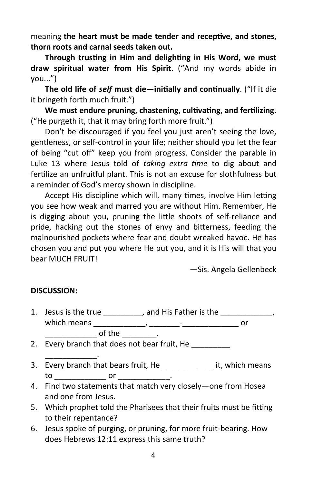meaning **the heart must be made tender and receptive, and stones, thorn roots and carnal seeds taken out.** 

**Through trusting in Him and delighting in His Word, we must draw spiritual water from His Spirit**. ("And my words abide in you...")

**The old life of** *self* **must die—initially and continually**. ("If it die it bringeth forth much fruit.")

**We must endure pruning, chastening, cultivating, and fertilizing.**  ("He purgeth it, that it may bring forth more fruit.")

Don't be discouraged if you feel you just aren't seeing the love, gentleness, or self-control in your life; neither should you let the fear of being "cut off" keep you from progress. Consider the parable in Luke 13 where Jesus told of *taking extra time* to dig about and fertilize an unfruitful plant. This is not an excuse for slothfulness but a reminder of God's mercy shown in discipline.

Accept His discipline which will, many times, involve Him letting you see how weak and marred you are without Him. Remember, He is digging about you, pruning the little shoots of self-reliance and pride, hacking out the stones of envy and bitterness, feeding the malnourished pockets where fear and doubt wreaked havoc. He has chosen you and put you where He put you, and it is His will that you bear MUCH FRUIT!

—Sis. Angela Gellenbeck

# **DISCUSSION:**

1. Jesus is the true \_\_\_\_\_\_\_\_\_, and His Father is the \_\_\_\_\_\_\_\_\_\_\_\_, which means \_\_\_\_\_\_\_\_\_\_\_\_, \_\_\_\_\_\_\_-\_\_\_\_\_\_\_\_\_\_\_\_\_ or  $\bullet$  of the  $\bullet$  .

2. Every branch that does not bear fruit, He

- \_\_\_\_\_\_\_\_\_\_\_\_. 3. Every branch that bears fruit, He and it, which means  $\mathsf{to} \hspace{2em} \mathsf{or} \hspace{2em} \ldots \hspace{2em}$
- 4. Find two statements that match very closely—one from Hosea and one from Jesus.
- 5. Which prophet told the Pharisees that their fruits must be fitting to their repentance?
- 6. Jesus spoke of purging, or pruning, for more fruit-bearing. How does Hebrews 12:11 express this same truth?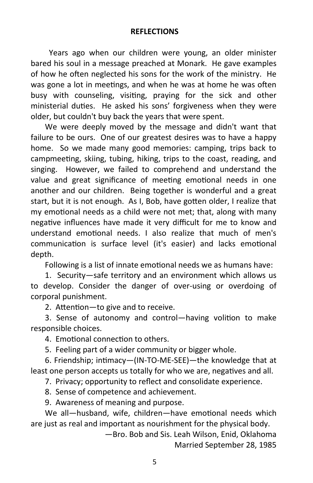#### **REFLECTIONS**

 Years ago when our children were young, an older minister bared his soul in a message preached at Monark. He gave examples of how he often neglected his sons for the work of the ministry. He was gone a lot in meetings, and when he was at home he was often busy with counseling, visiting, praying for the sick and other ministerial duties. He asked his sons' forgiveness when they were older, but couldn't buy back the years that were spent.

We were deeply moved by the message and didn't want that failure to be ours. One of our greatest desires was to have a happy home. So we made many good memories: camping, trips back to campmeeting, skiing, tubing, hiking, trips to the coast, reading, and singing. However, we failed to comprehend and understand the value and great significance of meeting emotional needs in one another and our children. Being together is wonderful and a great start, but it is not enough. As I, Bob, have gotten older, I realize that my emotional needs as a child were not met; that, along with many negative influences have made it very difficult for me to know and understand emotional needs. I also realize that much of men's communication is surface level (it's easier) and lacks emotional depth.

Following is a list of innate emotional needs we as humans have:

 1. Security—safe territory and an environment which allows us to develop. Consider the danger of over-using or overdoing of corporal punishment.

2. Attention—to give and to receive.

 3. Sense of autonomy and control—having volition to make responsible choices.

4. Emotional connection to others.

5. Feeling part of a wider community or bigger whole.

 6. Friendship; intimacy—(IN-TO-ME-SEE)—the knowledge that at least one person accepts us totally for who we are, negatives and all.

7. Privacy; opportunity to reflect and consolidate experience.

8. Sense of competence and achievement.

9. Awareness of meaning and purpose.

We all—husband, wife, children—have emotional needs which are just as real and important as nourishment for the physical body.

> —Bro. Bob and Sis. Leah Wilson, Enid, Oklahoma Married September 28, 1985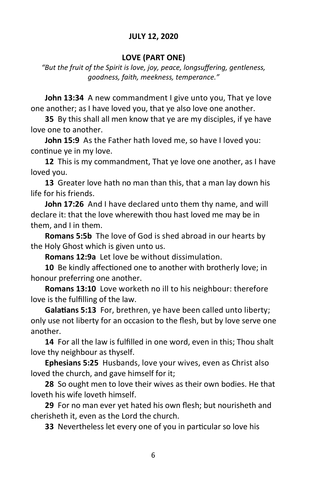# **JULY 12, 2020**

#### **LOVE (PART ONE)**

*"But the fruit of the Spirit is love, joy, peace, longsuffering, gentleness, goodness, faith, meekness, temperance."*

**John 13:34** A new commandment I give unto you, That ye love one another; as I have loved you, that ye also love one another.

**35** By this shall all men know that ye are my disciples, if ye have love one to another.

**John 15:9** As the Father hath loved me, so have I loved you: continue ye in my love.

**12** This is my commandment, That ye love one another, as I have loved you.

**13** Greater love hath no man than this, that a man lay down his life for his friends.

**John 17:26** And I have declared unto them thy name, and will declare it: that the love wherewith thou hast loved me may be in them, and I in them.

**Romans 5:5b** The love of God is shed abroad in our hearts by the Holy Ghost which is given unto us.

**Romans 12:9a** Let love be without dissimulation.

**10** Be kindly affectioned one to another with brotherly love; in honour preferring one another.

**Romans 13:10** Love worketh no ill to his neighbour: therefore love is the fulfilling of the law.

**Galatians 5:13** For, brethren, ye have been called unto liberty; only use not liberty for an occasion to the flesh, but by love serve one another.

**14** For all the law is fulfilled in one word, even in this; Thou shalt love thy neighbour as thyself.

**Ephesians 5:25** Husbands, love your wives, even as Christ also loved the church, and gave himself for it;

**28** So ought men to love their wives as their own bodies. He that loveth his wife loveth himself.

**29** For no man ever yet hated his own flesh; but nourisheth and cherisheth it, even as the Lord the church.

**33** Nevertheless let every one of you in particular so love his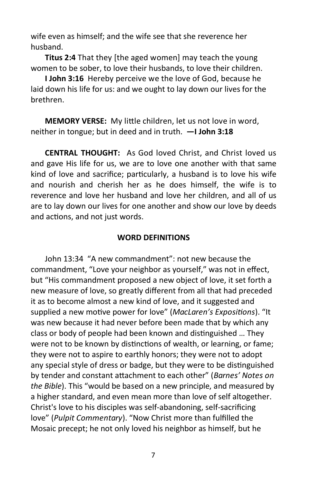wife even as himself; and the wife see that she reverence her husband.

**Titus 2:4** That they [the aged women] may teach the young women to be sober, to love their husbands, to love their children.

**I John 3:16** Hereby perceive we the love of God, because he laid down his life for us: and we ought to lay down our lives for the brethren.

**MEMORY VERSE:** My little children, let us not love in word, neither in tongue; but in deed and in truth. **—I John 3:18**

**CENTRAL THOUGHT:** As God loved Christ, and Christ loved us and gave His life for us, we are to love one another with that same kind of love and sacrifice; particularly, a husband is to love his wife and nourish and cherish her as he does himself, the wife is to reverence and love her husband and love her children, and all of us are to lay down our lives for one another and show our love by deeds and actions, and not just words.

#### **WORD DEFINITIONS**

John 13:34 "A new commandment": not new because the commandment, "Love your neighbor as yourself," was not in effect, but "His commandment proposed a new object of love, it set forth a new measure of love, so greatly different from all that had preceded it as to become almost a new kind of love, and it suggested and supplied a new motive power for love" (*MacLaren's Expositions*). "It was new because it had never before been made that by which any class or body of people had been known and distinguished … They were not to be known by distinctions of wealth, or learning, or fame; they were not to aspire to earthly honors; they were not to adopt any special style of dress or badge, but they were to be distinguished by tender and constant attachment to each other" (*Barnes' Notes on the Bible*). This "would be based on a new principle, and measured by a higher standard, and even mean more than love of self altogether. Christ's love to his disciples was self-abandoning, self-sacrificing love" (*Pulpit Commentary*). "Now Christ more than fulfilled the Mosaic precept; he not only loved his neighbor as himself, but he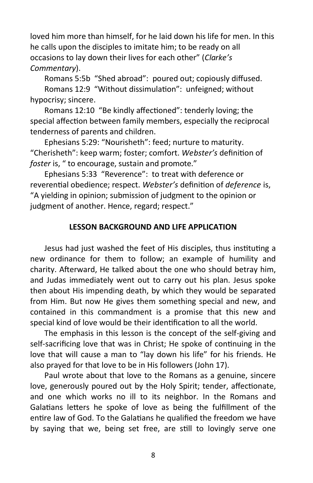loved him more than himself, for he laid down his life for men. In this he calls upon the disciples to imitate him; to be ready on all occasions to lay down their lives for each other" (*Clarke's Commentary*).

Romans 5:5b "Shed abroad": poured out; copiously diffused. Romans 12:9 "Without dissimulation": unfeigned; without hypocrisy; sincere.

Romans 12:10 "Be kindly affectioned": tenderly loving; the special affection between family members, especially the reciprocal tenderness of parents and children.

Ephesians 5:29: "Nourisheth": feed; nurture to maturity. "Cherisheth": keep warm; foster; comfort. *Webster's* definition of *foster* is, " to encourage, sustain and promote."

Ephesians 5:33 "Reverence": to treat with deference or reverential obedience; respect. *Webster's* definition of *deference* is, "A yielding in opinion; submission of judgment to the opinion or judgment of another. Hence, regard; respect."

# **LESSON BACKGROUND AND LIFE APPLICATION**

Jesus had just washed the feet of His disciples, thus instituting a new ordinance for them to follow; an example of humility and charity. Afterward, He talked about the one who should betray him, and Judas immediately went out to carry out his plan. Jesus spoke then about His impending death, by which they would be separated from Him. But now He gives them something special and new, and contained in this commandment is a promise that this new and special kind of love would be their identification to all the world.

The emphasis in this lesson is the concept of the self-giving and self-sacrificing love that was in Christ; He spoke of continuing in the love that will cause a man to "lay down his life" for his friends. He also prayed for that love to be in His followers (John 17).

Paul wrote about that love to the Romans as a genuine, sincere love, generously poured out by the Holy Spirit; tender, affectionate, and one which works no ill to its neighbor. In the Romans and Galatians letters he spoke of love as being the fulfillment of the entire law of God. To the Galatians he qualified the freedom we have by saying that we, being set free, are still to lovingly serve one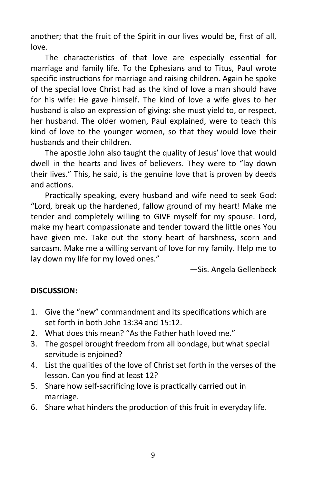another; that the fruit of the Spirit in our lives would be, first of all, love.

The characteristics of that love are especially essential for marriage and family life. To the Ephesians and to Titus, Paul wrote specific instructions for marriage and raising children. Again he spoke of the special love Christ had as the kind of love a man should have for his wife: He gave himself. The kind of love a wife gives to her husband is also an expression of giving: she must yield to, or respect, her husband. The older women, Paul explained, were to teach this kind of love to the younger women, so that they would love their husbands and their children.

The apostle John also taught the quality of Jesus' love that would dwell in the hearts and lives of believers. They were to "lay down their lives." This, he said, is the genuine love that is proven by deeds and actions.

Practically speaking, every husband and wife need to seek God: "Lord, break up the hardened, fallow ground of my heart! Make me tender and completely willing to GIVE myself for my spouse. Lord, make my heart compassionate and tender toward the little ones You have given me. Take out the stony heart of harshness, scorn and sarcasm. Make me a willing servant of love for my family. Help me to lay down my life for my loved ones."

—Sis. Angela Gellenbeck

# **DISCUSSION:**

- 1. Give the "new" commandment and its specifications which are set forth in both John 13:34 and 15:12.
- 2. What does this mean? "As the Father hath loved me."
- 3. The gospel brought freedom from all bondage, but what special servitude is enjoined?
- 4. List the qualities of the love of Christ set forth in the verses of the lesson. Can you find at least 12?
- 5. Share how self-sacrificing love is practically carried out in marriage.
- 6. Share what hinders the production of this fruit in everyday life.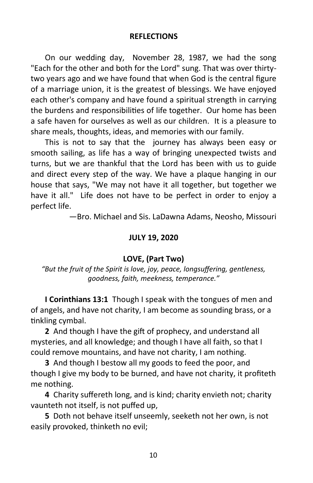#### **REFLECTIONS**

On our wedding day, November 28, 1987, we had the song "Each for the other and both for the Lord" sung. That was over thirtytwo years ago and we have found that when God is the central figure of a marriage union, it is the greatest of blessings. We have enjoyed each other's company and have found a spiritual strength in carrying the burdens and responsibilities of life together. Our home has been a safe haven for ourselves as well as our children. It is a pleasure to share meals, thoughts, ideas, and memories with our family.

This is not to say that the journey has always been easy or smooth sailing, as life has a way of bringing unexpected twists and turns, but we are thankful that the Lord has been with us to guide and direct every step of the way. We have a plaque hanging in our house that says, "We may not have it all together, but together we have it all." Life does not have to be perfect in order to enjoy a perfect life.

—Bro. Michael and Sis. LaDawna Adams, Neosho, Missouri

#### **JULY 19, 2020**

#### **LOVE, (Part Two)**

*"But the fruit of the Spirit is love, joy, peace, longsuffering, gentleness, goodness, faith, meekness, temperance."*

**I Corinthians 13:1** Though I speak with the tongues of men and of angels, and have not charity, I am become as sounding brass, or a tinkling cymbal.

**2** And though I have the gift of prophecy, and understand all mysteries, and all knowledge; and though I have all faith, so that I could remove mountains, and have not charity, I am nothing.

**3** And though I bestow all my goods to feed the poor, and though I give my body to be burned, and have not charity, it profiteth me nothing.

**4** Charity suffereth long, and is kind; charity envieth not; charity vaunteth not itself, is not puffed up,

**5** Doth not behave itself unseemly, seeketh not her own, is not easily provoked, thinketh no evil;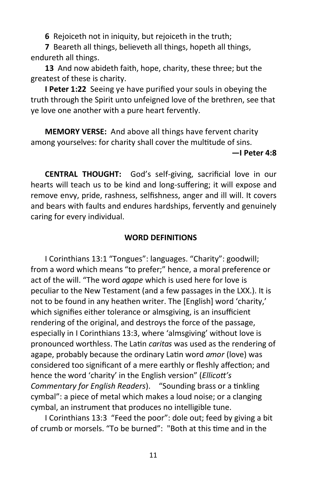**6** Rejoiceth not in iniquity, but rejoiceth in the truth;

**7** Beareth all things, believeth all things, hopeth all things, endureth all things.

**13** And now abideth faith, hope, charity, these three; but the greatest of these is charity.

**I Peter 1:22** Seeing ye have purified your souls in obeying the truth through the Spirit unto unfeigned love of the brethren, see that ye love one another with a pure heart fervently.

**MEMORY VERSE:** And above all things have fervent charity among yourselves: for charity shall cover the multitude of sins.

#### **—I Peter 4:8**

**CENTRAL THOUGHT:** God's self-giving, sacrificial love in our hearts will teach us to be kind and long-suffering; it will expose and remove envy, pride, rashness, selfishness, anger and ill will. It covers and bears with faults and endures hardships, fervently and genuinely caring for every individual.

#### **WORD DEFINITIONS**

I Corinthians 13:1 "Tongues": languages. "Charity": goodwill; from a word which means "to prefer;" hence, a moral preference or act of the will. "The word *agape* which is used here for love is peculiar to the New Testament (and a few passages in the LXX.). It is not to be found in any heathen writer. The [English] word 'charity,' which signifies either tolerance or almsgiving, is an insufficient rendering of the original, and destroys the force of the passage, especially in I Corinthians 13:3, where 'almsgiving' without love is pronounced worthless. The Latin *caritas* was used as the rendering of agape, probably because the ordinary Latin word *amor* (love) was considered too significant of a mere earthly or fleshly affection; and hence the word 'charity' in the English version" (*Ellicott's Commentary for English Readers*). "Sounding brass or a tinkling cymbal": a piece of metal which makes a loud noise; or a clanging cymbal, an instrument that produces no intelligible tune.

I Corinthians 13:3 "Feed the poor": dole out; feed by giving a bit of crumb or morsels. "To be burned": "Both at this time and in the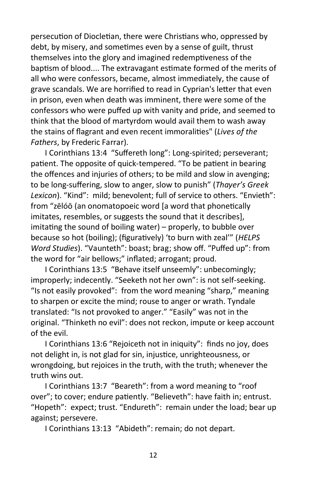persecution of Diocletian, there were Christians who, oppressed by debt, by misery, and sometimes even by a sense of guilt, thrust themselves into the glory and imagined redemptiveness of the baptism of blood.... The extravagant estimate formed of the merits of all who were confessors, became, almost immediately, the cause of grave scandals. We are horrified to read in Cyprian's letter that even in prison, even when death was imminent, there were some of the confessors who were puffed up with vanity and pride, and seemed to think that the blood of martyrdom would avail them to wash away the stains of flagrant and even recent immoralities" (*Lives of the Fathers*, by Frederic Farrar).

I Corinthians 13:4 "Suffereth long": Long-spirited; perseverant; patient. The opposite of quick-tempered. "To be patient in bearing the offences and injuries of others; to be mild and slow in avenging; to be long-suffering, slow to anger, slow to punish" (*Thayer's Greek Lexicon*). "Kind": mild; benevolent; full of service to others. "Envieth": from "zēlóō (an onomatopoeic word [a word that phonetically imitates, resembles, or suggests the sound that it describes], imitating the sound of boiling water) – properly, to bubble over because so hot (boiling); (figuratively) 'to burn with zeal'" (*HELPS Word Studies*). "Vaunteth": boast; brag; show off. "Puffed up": from the word for "air bellows;" inflated; arrogant; proud.

I Corinthians 13:5 "Behave itself unseemly": unbecomingly; improperly; indecently. "Seeketh not her own": is not self-seeking. "Is not easily provoked": from the word meaning "sharp," meaning to sharpen or excite the mind; rouse to anger or wrath. Tyndale translated: "Is not provoked to anger." "Easily" was not in the original. "Thinketh no evil": does not reckon, impute or keep account of the evil.

I Corinthians 13:6 "Rejoiceth not in iniquity": finds no joy, does not delight in, is not glad for sin, injustice, unrighteousness, or wrongdoing, but rejoices in the truth, with the truth; whenever the truth wins out.

I Corinthians 13:7 "Beareth": from a word meaning to "roof over"; to cover; endure patiently. "Believeth": have faith in; entrust. "Hopeth": expect; trust. "Endureth": remain under the load; bear up against; persevere.

I Corinthians 13:13 "Abideth": remain; do not depart.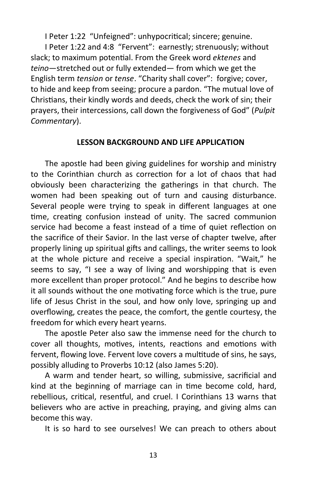I Peter 1:22 "Unfeigned": unhypocritical; sincere; genuine.

I Peter 1:22 and 4:8 "Fervent": earnestly; strenuously; without slack; to maximum potential. From the Greek word *ektenes* and *teino*—stretched out or fully extended— from which we get the English term *tension* or *tense*. "Charity shall cover": forgive; cover, to hide and keep from seeing; procure a pardon. "The mutual love of Christians, their kindly words and deeds, check the work of sin; their prayers, their intercessions, call down the forgiveness of God" (*Pulpit Commentary*).

#### **LESSON BACKGROUND AND LIFE APPLICATION**

The apostle had been giving guidelines for worship and ministry to the Corinthian church as correction for a lot of chaos that had obviously been characterizing the gatherings in that church. The women had been speaking out of turn and causing disturbance. Several people were trying to speak in different languages at one time, creating confusion instead of unity. The sacred communion service had become a feast instead of a time of quiet reflection on the sacrifice of their Savior. In the last verse of chapter twelve, after properly lining up spiritual gifts and callings, the writer seems to look at the whole picture and receive a special inspiration. "Wait," he seems to say, "I see a way of living and worshipping that is even more excellent than proper protocol." And he begins to describe how it all sounds without the one motivating force which is the true, pure life of Jesus Christ in the soul, and how only love, springing up and overflowing, creates the peace, the comfort, the gentle courtesy, the freedom for which every heart yearns.

The apostle Peter also saw the immense need for the church to cover all thoughts, motives, intents, reactions and emotions with fervent, flowing love. Fervent love covers a multitude of sins, he says, possibly alluding to Proverbs 10:12 (also James 5:20).

A warm and tender heart, so willing, submissive, sacrificial and kind at the beginning of marriage can in time become cold, hard, rebellious, critical, resentful, and cruel. I Corinthians 13 warns that believers who are active in preaching, praying, and giving alms can become this way.

It is so hard to see ourselves! We can preach to others about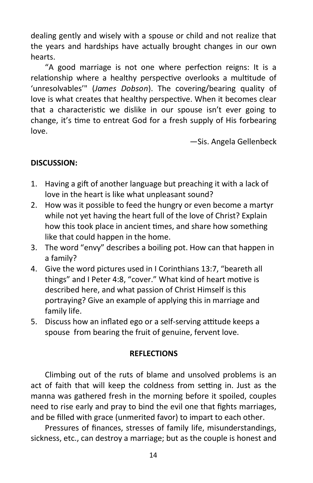dealing gently and wisely with a spouse or child and not realize that the years and hardships have actually brought changes in our own hearts.

"A good marriage is not one where perfection reigns: It is a relationship where a healthy perspective overlooks a multitude of 'unresolvables'" (*James Dobson*). The covering/bearing quality of love is what creates that healthy perspective. When it becomes clear that a characteristic we dislike in our spouse isn't ever going to change, it's time to entreat God for a fresh supply of His forbearing love.

—Sis. Angela Gellenbeck

# **DISCUSSION:**

- 1. Having a gift of another language but preaching it with a lack of love in the heart is like what unpleasant sound?
- 2. How was it possible to feed the hungry or even become a martyr while not yet having the heart full of the love of Christ? Explain how this took place in ancient times, and share how something like that could happen in the home.
- 3. The word "envy" describes a boiling pot. How can that happen in a family?
- 4. Give the word pictures used in I Corinthians 13:7, "beareth all things" and I Peter 4:8, "cover." What kind of heart motive is described here, and what passion of Christ Himself is this portraying? Give an example of applying this in marriage and family life.
- 5. Discuss how an inflated ego or a self-serving attitude keeps a spouse from bearing the fruit of genuine, fervent love.

# **REFLECTIONS**

Climbing out of the ruts of blame and unsolved problems is an act of faith that will keep the coldness from setting in. Just as the manna was gathered fresh in the morning before it spoiled, couples need to rise early and pray to bind the evil one that fights marriages, and be filled with grace (unmerited favor) to impart to each other.

Pressures of finances, stresses of family life, misunderstandings, sickness, etc., can destroy a marriage; but as the couple is honest and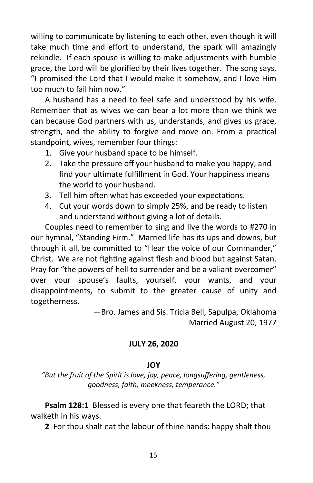willing to communicate by listening to each other, even though it will take much time and effort to understand, the spark will amazingly rekindle. If each spouse is willing to make adjustments with humble grace, the Lord will be glorified by their lives together. The song says, "I promised the Lord that I would make it somehow, and I love Him too much to fail him now."

A husband has a need to feel safe and understood by his wife. Remember that as wives we can bear a lot more than we think we can because God partners with us, understands, and gives us grace, strength, and the ability to forgive and move on. From a practical standpoint, wives, remember four things:

- 1. Give your husband space to be himself.
- 2. Take the pressure off your husband to make you happy, and find your ultimate fulfillment in God. Your happiness means the world to your husband.
- 3. Tell him often what has exceeded your expectations.
- 4. Cut your words down to simply 25%, and be ready to listen and understand without giving a lot of details.

Couples need to remember to sing and live the words to #270 in our hymnal, "Standing Firm." Married life has its ups and downs, but through it all, be committed to "Hear the voice of our Commander," Christ. We are not fighting against flesh and blood but against Satan. Pray for "the powers of hell to surrender and be a valiant overcomer" over your spouse's faults, yourself, your wants, and your disappointments, to submit to the greater cause of unity and togetherness.

> —Bro. James and Sis. Tricia Bell, Sapulpa, Oklahoma Married August 20, 1977

# **JULY 26, 2020**

# **JOY**

*"But the fruit of the Spirit is love, joy, peace, longsuffering, gentleness, goodness, faith, meekness, temperance."*

**Psalm 128:1** Blessed is every one that feareth the LORD; that walketh in his ways.

**2** For thou shalt eat the labour of thine hands: happy shalt thou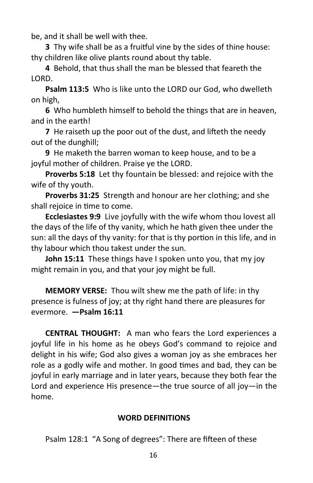be, and it shall be well with thee.

**3** Thy wife shall be as a fruitful vine by the sides of thine house: thy children like olive plants round about thy table.

**4** Behold, that thus shall the man be blessed that feareth the LORD.

**Psalm 113:5** Who is like unto the LORD our God, who dwelleth on high,

**6** Who humbleth himself to behold the things that are in heaven, and in the earth!

**7** He raiseth up the poor out of the dust, and lifteth the needy out of the dunghill;

**9** He maketh the barren woman to keep house, and to be a joyful mother of children. Praise ye the LORD.

**Proverbs 5:18** Let thy fountain be blessed: and rejoice with the wife of thy youth.

**Proverbs 31:25** Strength and honour are her clothing; and she shall rejoice in time to come.

**Ecclesiastes 9:9** Live joyfully with the wife whom thou lovest all the days of the life of thy vanity, which he hath given thee under the sun: all the days of thy vanity: for that is thy portion in this life, and in thy labour which thou takest under the sun.

**John 15:11** These things have I spoken unto you, that my joy might remain in you, and that your joy might be full.

**MEMORY VERSE:** Thou wilt shew me the path of life: in thy presence is fulness of joy; at thy right hand there are pleasures for evermore. **—Psalm 16:11**

**CENTRAL THOUGHT:** A man who fears the Lord experiences a joyful life in his home as he obeys God's command to rejoice and delight in his wife; God also gives a woman joy as she embraces her role as a godly wife and mother. In good times and bad, they can be joyful in early marriage and in later years, because they both fear the Lord and experience His presence—the true source of all joy—in the home.

# **WORD DEFINITIONS**

Psalm 128:1 "A Song of degrees": There are fifteen of these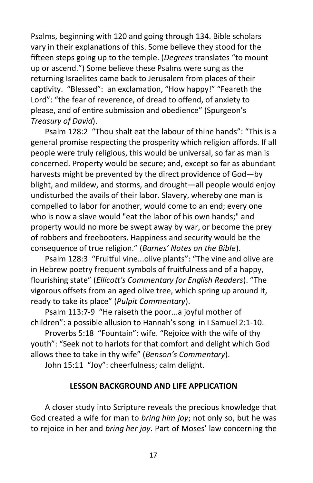Psalms, beginning with 120 and going through 134. Bible scholars vary in their explanations of this. Some believe they stood for the fifteen steps going up to the temple. (*Degrees* translates "to mount up or ascend.") Some believe these Psalms were sung as the returning Israelites came back to Jerusalem from places of their captivity. "Blessed": an exclamation, "How happy!" "Feareth the Lord": "the fear of reverence, of dread to offend, of anxiety to please, and of entire submission and obedience" (Spurgeon's *Treasury of David*).

Psalm 128:2 "Thou shalt eat the labour of thine hands": "This is a general promise respecting the prosperity which religion affords. If all people were truly religious, this would be universal, so far as man is concerned. Property would be secure; and, except so far as abundant harvests might be prevented by the direct providence of God—by blight, and mildew, and storms, and drought—all people would enjoy undisturbed the avails of their labor. Slavery, whereby one man is compelled to labor for another, would come to an end; every one who is now a slave would "eat the labor of his own hands;" and property would no more be swept away by war, or become the prey of robbers and freebooters. Happiness and security would be the consequence of true religion." (*Barnes' Notes on the Bible*).

Psalm 128:3 "Fruitful vine...olive plants": "The vine and olive are in Hebrew poetry frequent symbols of fruitfulness and of a happy, flourishing state" (*Ellicott's Commentary for English Readers*). "The vigorous offsets from an aged olive tree, which spring up around it, ready to take its place" (*Pulpit Commentary*).

Psalm 113:7-9 "He raiseth the poor...a joyful mother of children": a possible allusion to Hannah's song in I Samuel 2:1-10.

Proverbs 5:18 "Fountain": wife. "Rejoice with the wife of thy youth": "Seek not to harlots for that comfort and delight which God allows thee to take in thy wife" (*Benson's Commentary*).

John 15:11 "Joy": cheerfulness; calm delight.

# **LESSON BACKGROUND AND LIFE APPLICATION**

A closer study into Scripture reveals the precious knowledge that God created a wife for man to *bring him joy*; not only so, but he was to rejoice in her and *bring her joy*. Part of Moses' law concerning the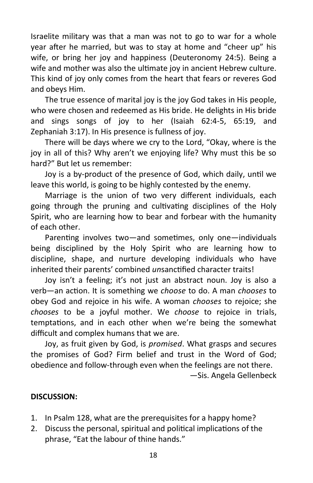Israelite military was that a man was not to go to war for a whole year after he married, but was to stay at home and "cheer up" his wife, or bring her joy and happiness (Deuteronomy 24:5). Being a wife and mother was also the ultimate joy in ancient Hebrew culture. This kind of joy only comes from the heart that fears or reveres God and obeys Him.

The true essence of marital joy is the joy God takes in His people, who were chosen and redeemed as His bride. He delights in His bride and sings songs of joy to her (Isaiah 62:4-5, 65:19, and Zephaniah 3:17). In His presence is fullness of joy.

There will be days where we cry to the Lord, "Okay, where is the joy in all of this? Why aren't we enjoying life? Why must this be so hard?" But let us remember:

Joy is a by-product of the presence of God, which daily, until we leave this world, is going to be highly contested by the enemy.

Marriage is the union of two very different individuals, each going through the pruning and cultivating disciplines of the Holy Spirit, who are learning how to bear and forbear with the humanity of each other.

Parenting involves two—and sometimes, only one—individuals being disciplined by the Holy Spirit who are learning how to discipline, shape, and nurture developing individuals who have inherited their parents' combined *un*sanctified character traits!

Joy isn't a feeling; it's not just an abstract noun. Joy is also a verb—an action. It is something we *choose* to do. A man *chooses* to obey God and rejoice in his wife. A woman *chooses* to rejoice; she *chooses* to be a joyful mother. We *choose* to rejoice in trials, temptations, and in each other when we're being the somewhat difficult and complex humans that we are.

Joy, as fruit given by God, is *promised*. What grasps and secures the promises of God? Firm belief and trust in the Word of God; obedience and follow-through even when the feelings are not there.

—Sis. Angela Gellenbeck

#### **DISCUSSION:**

- 1. In Psalm 128, what are the prerequisites for a happy home?
- 2. Discuss the personal, spiritual and political implications of the phrase, "Eat the labour of thine hands."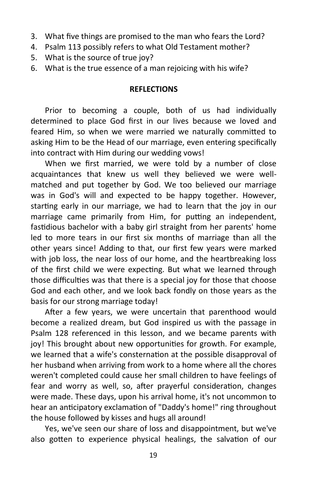- 3. What five things are promised to the man who fears the Lord?
- 4. Psalm 113 possibly refers to what Old Testament mother?
- 5. What is the source of true joy?
- 6. What is the true essence of a man rejoicing with his wife?

# **REFLECTIONS**

Prior to becoming a couple, both of us had individually determined to place God first in our lives because we loved and feared Him, so when we were married we naturally committed to asking Him to be the Head of our marriage, even entering specifically into contract with Him during our wedding vows!

When we first married, we were told by a number of close acquaintances that knew us well they believed we were wellmatched and put together by God. We too believed our marriage was in God's will and expected to be happy together. However, starting early in our marriage, we had to learn that the joy in our marriage came primarily from Him, for putting an independent, fastidious bachelor with a baby girl straight from her parents' home led to more tears in our first six months of marriage than all the other years since! Adding to that, our first few years were marked with job loss, the near loss of our home, and the heartbreaking loss of the first child we were expecting. But what we learned through those difficulties was that there is a special joy for those that choose God and each other, and we look back fondly on those years as the basis for our strong marriage today!

After a few years, we were uncertain that parenthood would become a realized dream, but God inspired us with the passage in Psalm 128 referenced in this lesson, and we became parents with joy! This brought about new opportunities for growth. For example, we learned that a wife's consternation at the possible disapproval of her husband when arriving from work to a home where all the chores weren't completed could cause her small children to have feelings of fear and worry as well, so, after prayerful consideration, changes were made. These days, upon his arrival home, it's not uncommon to hear an anticipatory exclamation of "Daddy's home!" ring throughout the house followed by kisses and hugs all around!

Yes, we've seen our share of loss and disappointment, but we've also gotten to experience physical healings, the salvation of our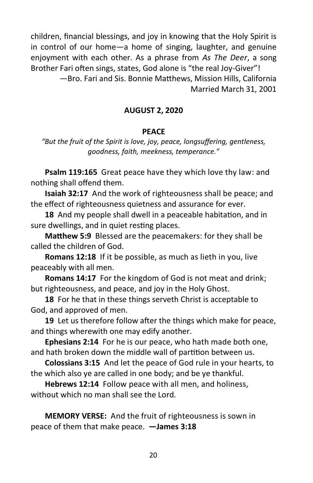children, financial blessings, and joy in knowing that the Holy Spirit is in control of our home—a home of singing, laughter, and genuine enjoyment with each other. As a phrase from *As The Deer*, a song Brother Fari often sings, states, God alone is "the real Joy-Giver"!

> —Bro. Fari and Sis. Bonnie Matthews, Mission Hills, California Married March 31, 2001

#### **AUGUST 2, 2020**

#### **PEACE**

*"But the fruit of the Spirit is love, joy, peace, longsuffering, gentleness, goodness, faith, meekness, temperance."*

**Psalm 119:165** Great peace have they which love thy law: and nothing shall offend them.

**Isaiah 32:17** And the work of righteousness shall be peace; and the effect of righteousness quietness and assurance for ever.

**18** And my people shall dwell in a peaceable habitation, and in sure dwellings, and in quiet resting places.

**Matthew 5:9** Blessed are the peacemakers: for they shall be called the children of God.

**Romans 12:18** If it be possible, as much as lieth in you, live peaceably with all men.

**Romans 14:17** For the kingdom of God is not meat and drink; but righteousness, and peace, and joy in the Holy Ghost.

**18** For he that in these things serveth Christ is acceptable to God, and approved of men.

**19** Let us therefore follow after the things which make for peace, and things wherewith one may edify another.

**Ephesians 2:14** For he is our peace, who hath made both one, and hath broken down the middle wall of partition between us.

**Colossians 3:15** And let the peace of God rule in your hearts, to the which also ye are called in one body; and be ye thankful.

**Hebrews 12:14** Follow peace with all men, and holiness, without which no man shall see the Lord.

**MEMORY VERSE:** And the fruit of righteousness is sown in peace of them that make peace. **—James 3:18**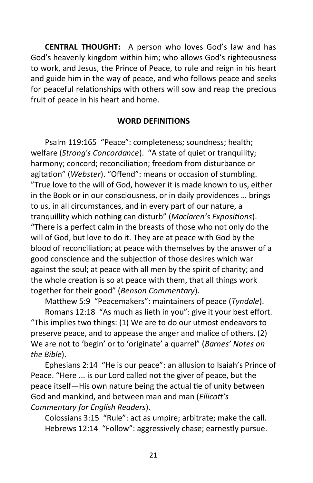**CENTRAL THOUGHT:** A person who loves God's law and has God's heavenly kingdom within him; who allows God's righteousness to work, and Jesus, the Prince of Peace, to rule and reign in his heart and guide him in the way of peace, and who follows peace and seeks for peaceful relationships with others will sow and reap the precious fruit of peace in his heart and home.

#### **WORD DEFINITIONS**

Psalm 119:165 "Peace": completeness; soundness; health; welfare (*Strong's Concordance*). "A state of quiet or tranquility; harmony; concord; reconciliation; freedom from disturbance or agitation" (*Webster*). "Offend": means or occasion of stumbling. "True love to the will of God, however it is made known to us, either in the Book or in our consciousness, or in daily providences … brings to us, in all circumstances, and in every part of our nature, a tranquillity which nothing can disturb" (*Maclaren's Expositions*). "There is a perfect calm in the breasts of those who not only do the will of God, but love to do it. They are at peace with God by the blood of reconciliation; at peace with themselves by the answer of a good conscience and the subjection of those desires which war against the soul; at peace with all men by the spirit of charity; and the whole creation is so at peace with them, that all things work together for their good" (*Benson Commentary*).

Matthew 5:9 "Peacemakers": maintainers of peace (*Tyndale*).

Romans 12:18 "As much as lieth in you": give it your best effort. "This implies two things: (1) We are to do our utmost endeavors to preserve peace, and to appease the anger and malice of others. (2) We are not to 'begin' or to 'originate' a quarrel" (*Barnes' Notes on the Bible*).

Ephesians 2:14 "He is our peace": an allusion to Isaiah's Prince of Peace. "Here ... is our Lord called not the giver of peace, but the peace itself—His own nature being the actual tie of unity between God and mankind, and between man and man (*Ellicott's Commentary for English Readers*).

Colossians 3:15 "Rule": act as umpire; arbitrate; make the call. Hebrews 12:14 "Follow": aggressively chase; earnestly pursue.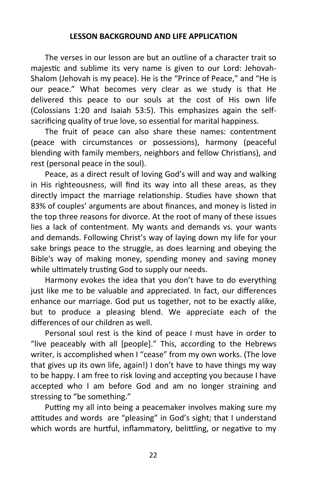#### **LESSON BACKGROUND AND LIFE APPLICATION**

The verses in our lesson are but an outline of a character trait so majestic and sublime its very name is given to our Lord: Jehovah-Shalom (Jehovah is my peace). He is the "Prince of Peace," and "He is our peace." What becomes very clear as we study is that He delivered this peace to our souls at the cost of His own life (Colossians 1:20 and Isaiah 53:5). This emphasizes again the selfsacrificing quality of true love, so essential for marital happiness.

The fruit of peace can also share these names: contentment (peace with circumstances or possessions), harmony (peaceful blending with family members, neighbors and fellow Christians), and rest (personal peace in the soul).

Peace, as a direct result of loving God's will and way and walking in His righteousness, will find its way into all these areas, as they directly impact the marriage relationship. Studies have shown that 83% of couples' arguments are about finances, and money is listed in the top three reasons for divorce. At the root of many of these issues lies a lack of contentment. My wants and demands vs. your wants and demands. Following Christ's way of laying down my life for your sake brings peace to the struggle, as does learning and obeying the Bible's way of making money, spending money and saving money while ultimately trusting God to supply our needs.

Harmony evokes the idea that you don't have to do everything just like me to be valuable and appreciated. In fact, our differences enhance our marriage. God put us together, not to be exactly alike, but to produce a pleasing blend. We appreciate each of the differences of our children as well.

Personal soul rest is the kind of peace I must have in order to "live peaceably with all [people]." This, according to the Hebrews writer, is accomplished when I "cease" from my own works. (The love that gives up its own life, again!) I don't have to have things my way to be happy. I am free to risk loving and accepting you because I have accepted who I am before God and am no longer straining and stressing to "be something."

Putting my all into being a peacemaker involves making sure my attitudes and words are "pleasing" in God's sight; that I understand which words are hurtful, inflammatory, belittling, or negative to my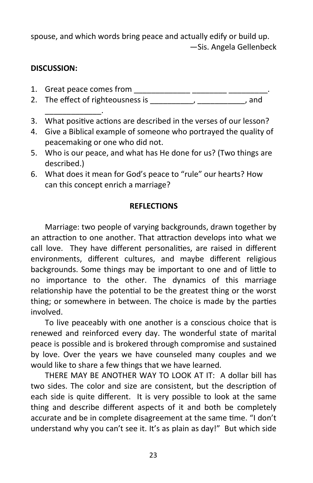spouse, and which words bring peace and actually edify or build up. —Sis. Angela Gellenbeck

# **DISCUSSION:**

- 1. Great peace comes from \_\_\_\_\_\_\_\_\_\_\_\_\_ \_\_\_\_\_\_\_\_ \_\_\_\_\_\_\_\_\_.
- 2. The effect of righteousness is the control of the case of the control of the control of the control of the control of the control of the control of the control of the control of the control of the control of the control
- \_\_\_\_\_\_\_\_\_\_\_\_\_. 3. What positive actions are described in the verses of our lesson?
- 4. Give a Biblical example of someone who portrayed the quality of peacemaking or one who did not.
- 5. Who is our peace, and what has He done for us? (Two things are described.)
- 6. What does it mean for God's peace to "rule" our hearts? How can this concept enrich a marriage?

# **REFLECTIONS**

Marriage: two people of varying backgrounds, drawn together by an attraction to one another. That attraction develops into what we call love. They have different personalities, are raised in different environments, different cultures, and maybe different religious backgrounds. Some things may be important to one and of little to no importance to the other. The dynamics of this marriage relationship have the potential to be the greatest thing or the worst thing; or somewhere in between. The choice is made by the parties involved.

To live peaceably with one another is a conscious choice that is renewed and reinforced every day. The wonderful state of marital peace is possible and is brokered through compromise and sustained by love. Over the years we have counseled many couples and we would like to share a few things that we have learned.

THERE MAY BE ANOTHER WAY TO LOOK AT IT: A dollar bill has two sides. The color and size are consistent, but the description of each side is quite different. It is very possible to look at the same thing and describe different aspects of it and both be completely accurate and be in complete disagreement at the same time. "I don't understand why you can't see it. It's as plain as day!" But which side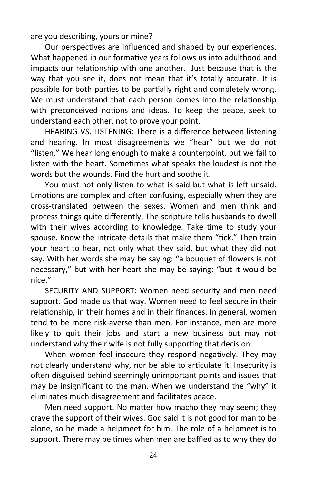are you describing, yours or mine?

Our perspectives are influenced and shaped by our experiences. What happened in our formative years follows us into adulthood and impacts our relationship with one another. Just because that is the way that you see it, does not mean that it's totally accurate. It is possible for both parties to be partially right and completely wrong. We must understand that each person comes into the relationship with preconceived notions and ideas. To keep the peace, seek to understand each other, not to prove your point.

HEARING VS. LISTENING: There is a difference between listening and hearing. In most disagreements we "hear" but we do not "listen." We hear long enough to make a counterpoint, but we fail to listen with the heart. Sometimes what speaks the loudest is not the words but the wounds. Find the hurt and soothe it.

You must not only listen to what is said but what is left unsaid. Emotions are complex and often confusing, especially when they are cross-translated between the sexes. Women and men think and process things quite differently. The scripture tells husbands to dwell with their wives according to knowledge. Take time to study your spouse. Know the intricate details that make them "tick." Then train your heart to hear, not only what they said, but what they did not say. With her words she may be saying: "a bouquet of flowers is not necessary," but with her heart she may be saying: "but it would be nice."

SECURITY AND SUPPORT: Women need security and men need support. God made us that way. Women need to feel secure in their relationship, in their homes and in their finances. In general, women tend to be more risk-averse than men. For instance, men are more likely to quit their jobs and start a new business but may not understand why their wife is not fully supporting that decision.

When women feel insecure they respond negatively. They may not clearly understand why, nor be able to articulate it. Insecurity is often disguised behind seemingly unimportant points and issues that may be insignificant to the man. When we understand the "why" it eliminates much disagreement and facilitates peace.

Men need support. No matter how macho they may seem; they crave the support of their wives. God said it is not good for man to be alone, so he made a helpmeet for him. The role of a helpmeet is to support. There may be times when men are baffled as to why they do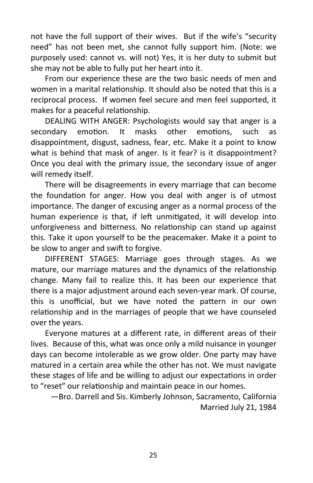not have the full support of their wives. But if the wife's "security need" has not been met, she cannot fully support him. (Note: we purposely used: cannot vs. will not) Yes, it is her duty to submit but she may not be able to fully put her heart into it.

From our experience these are the two basic needs of men and women in a marital relationship. It should also be noted that this is a reciprocal process. If women feel secure and men feel supported, it makes for a peaceful relationship.

DEALING WITH ANGER: Psychologists would say that anger is a secondary emotion. It masks other emotions, such as disappointment, disgust, sadness, fear, etc. Make it a point to know what is behind that mask of anger. Is it fear? is it disappointment? Once you deal with the primary issue, the secondary issue of anger will remedy itself.

There will be disagreements in every marriage that can become the foundation for anger. How you deal with anger is of utmost importance. The danger of excusing anger as a normal process of the human experience is that, if left unmitigated, it will develop into unforgiveness and bitterness. No relationship can stand up against this. Take it upon yourself to be the peacemaker. Make it a point to be slow to anger and swift to forgive.

DIFFERENT STAGES: Marriage goes through stages. As we mature, our marriage matures and the dynamics of the relationship change. Many fail to realize this. It has been our experience that there is a major adjustment around each seven-year mark. Of course, this is unofficial, but we have noted the pattern in our own relationship and in the marriages of people that we have counseled over the years.

Everyone matures at a different rate, in different areas of their lives. Because of this, what was once only a mild nuisance in younger days can become intolerable as we grow older. One party may have matured in a certain area while the other has not. We must navigate these stages of life and be willing to adjust our expectations in order to "reset" our relationship and maintain peace in our homes.

—Bro. Darrell and Sis. Kimberly Johnson, Sacramento, California Married July 21, 1984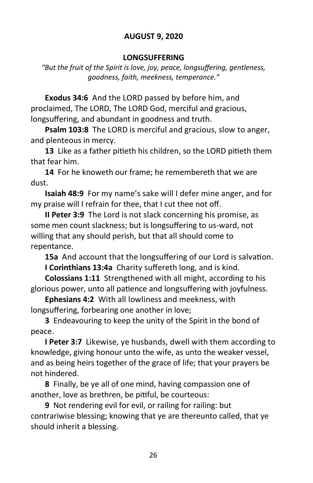# **AUGUST 9, 2020**

#### **LONGSUFFERING**

*"But the fruit of the Spirit is love, joy, peace, longsuffering, gentleness, goodness, faith, meekness, temperance."*

**Exodus 34:6** And the LORD passed by before him, and proclaimed, The LORD, The LORD God, merciful and gracious, longsuffering, and abundant in goodness and truth.

**Psalm 103:8** The LORD is merciful and gracious, slow to anger, and plenteous in mercy.

**13** Like as a father pitieth his children, so the LORD pitieth them that fear him.

**14** For he knoweth our frame; he remembereth that we are dust.

**Isaiah 48:9** For my name's sake will I defer mine anger, and for my praise will I refrain for thee, that I cut thee not off.

**II Peter 3:9** The Lord is not slack concerning his promise, as some men count slackness; but is longsuffering to us-ward, not willing that any should perish, but that all should come to repentance.

**15a** And account that the longsuffering of our Lord is salvation. **I Corinthians 13:4a** Charity suffereth long, and is kind.

**Colossians 1:11** Strengthened with all might, according to his glorious power, unto all patience and longsuffering with joyfulness.

**Ephesians 4:2** With all lowliness and meekness, with longsuffering, forbearing one another in love;

**3** Endeavouring to keep the unity of the Spirit in the bond of peace.

**I Peter 3:7** Likewise, ye husbands, dwell with them according to knowledge, giving honour unto the wife, as unto the weaker vessel, and as being heirs together of the grace of life; that your prayers be not hindered.

**8** Finally, be ye all of one mind, having compassion one of another, love as brethren, be pitiful, be courteous:

**9** Not rendering evil for evil, or railing for railing: but contrariwise blessing; knowing that ye are thereunto called, that ye should inherit a blessing.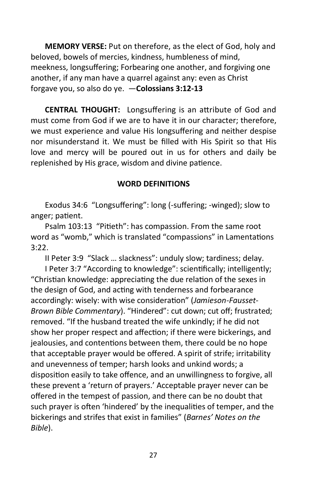**MEMORY VERSE:** Put on therefore, as the elect of God, holy and beloved, bowels of mercies, kindness, humbleness of mind, meekness, longsuffering; Forbearing one another, and forgiving one another, if any man have a quarrel against any: even as Christ forgave you, so also do ye. —**Colossians 3:12-13**

**CENTRAL THOUGHT:** Longsuffering is an attribute of God and must come from God if we are to have it in our character; therefore, we must experience and value His longsuffering and neither despise nor misunderstand it. We must be filled with His Spirit so that His love and mercy will be poured out in us for others and daily be replenished by His grace, wisdom and divine patience.

# **WORD DEFINITIONS**

Exodus 34:6 "Longsuffering": long (-suffering; -winged); slow to anger; patient.

Psalm 103:13 "Pitieth": has compassion. From the same root word as "womb," which is translated "compassions" in Lamentations 3:22.

II Peter 3:9 "Slack … slackness": unduly slow; tardiness; delay.

I Peter 3:7 "According to knowledge": scientifically; intelligently; "Christian knowledge: appreciating the due relation of the sexes in the design of God, and acting with tenderness and forbearance accordingly: wisely: with wise consideration" (*Jamieson-Fausset-Brown Bible Commentary*). "Hindered": cut down; cut off; frustrated; removed. "If the husband treated the wife unkindly; if he did not show her proper respect and affection; if there were bickerings, and jealousies, and contentions between them, there could be no hope that acceptable prayer would be offered. A spirit of strife; irritability and unevenness of temper; harsh looks and unkind words; a disposition easily to take offence, and an unwillingness to forgive, all these prevent a 'return of prayers.' Acceptable prayer never can be offered in the tempest of passion, and there can be no doubt that such prayer is often 'hindered' by the inequalities of temper, and the bickerings and strifes that exist in families" (*Barnes' Notes on the Bible*).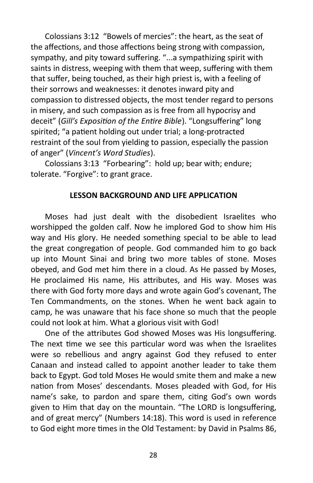Colossians 3:12 "Bowels of mercies": the heart, as the seat of the affections, and those affections being strong with compassion, sympathy, and pity toward suffering. "...a sympathizing spirit with saints in distress, weeping with them that weep, suffering with them that suffer, being touched, as their high priest is, with a feeling of their sorrows and weaknesses: it denotes inward pity and compassion to distressed objects, the most tender regard to persons in misery, and such compassion as is free from all hypocrisy and deceit" (*Gill's Exposition of the Entire Bible*). "Longsuffering" long spirited; "a patient holding out under trial; a long-protracted restraint of the soul from yielding to passion, especially the passion of anger" (*Vincent's Word Studies*).

Colossians 3:13 "Forbearing": hold up; bear with; endure; tolerate. "Forgive": to grant grace.

# **LESSON BACKGROUND AND LIFE APPLICATION**

Moses had just dealt with the disobedient Israelites who worshipped the golden calf. Now he implored God to show him His way and His glory. He needed something special to be able to lead the great congregation of people. God commanded him to go back up into Mount Sinai and bring two more tables of stone. Moses obeyed, and God met him there in a cloud. As He passed by Moses, He proclaimed His name, His attributes, and His way. Moses was there with God forty more days and wrote again God's covenant, The Ten Commandments, on the stones. When he went back again to camp, he was unaware that his face shone so much that the people could not look at him. What a glorious visit with God!

One of the attributes God showed Moses was His longsuffering. The next time we see this particular word was when the Israelites were so rebellious and angry against God they refused to enter Canaan and instead called to appoint another leader to take them back to Egypt. God told Moses He would smite them and make a new nation from Moses' descendants. Moses pleaded with God, for His name's sake, to pardon and spare them, citing God's own words given to Him that day on the mountain. "The LORD is longsuffering, and of great mercy" (Numbers 14:18). This word is used in reference to God eight more times in the Old Testament: by David in Psalms 86,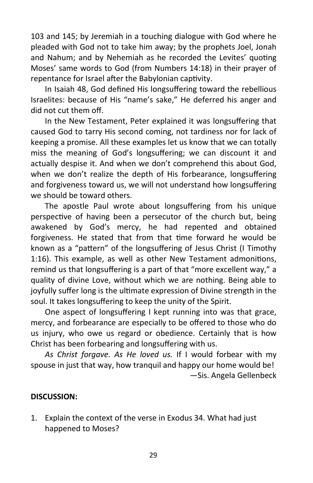103 and 145; by Jeremiah in a touching dialogue with God where he pleaded with God not to take him away; by the prophets Joel, Jonah and Nahum; and by Nehemiah as he recorded the Levites' quoting Moses' same words to God (from Numbers 14:18) in their prayer of repentance for Israel after the Babylonian captivity.

In Isaiah 48, God defined His longsuffering toward the rebellious Israelites: because of His "name's sake," He deferred his anger and did not cut them off.

In the New Testament, Peter explained it was longsuffering that caused God to tarry His second coming, not tardiness nor for lack of keeping a promise. All these examples let us know that we can totally miss the meaning of God's longsuffering; we can discount it and actually despise it. And when we don't comprehend this about God, when we don't realize the depth of His forbearance, longsuffering and forgiveness toward us, we will not understand how longsuffering we should be toward others.

The apostle Paul wrote about longsuffering from his unique perspective of having been a persecutor of the church but, being awakened by God's mercy, he had repented and obtained forgiveness. He stated that from that time forward he would be known as a "pattern" of the longsuffering of Jesus Christ (I Timothy 1:16). This example, as well as other New Testament admonitions, remind us that longsuffering is a part of that "more excellent way," a quality of divine Love, without which we are nothing. Being able to joyfully suffer long is the ultimate expression of Divine strength in the soul. It takes longsuffering to keep the unity of the Spirit.

One aspect of longsuffering I kept running into was that grace, mercy, and forbearance are especially to be offered to those who do us injury, who owe us regard or obedience. Certainly that is how Christ has been forbearing and longsuffering with us.

*As Christ forgave. As He loved us.* If I would forbear with my spouse in just that way, how tranquil and happy our home would be! —Sis. Angela Gellenbeck

# **DISCUSSION:**

1. Explain the context of the verse in Exodus 34. What had just happened to Moses?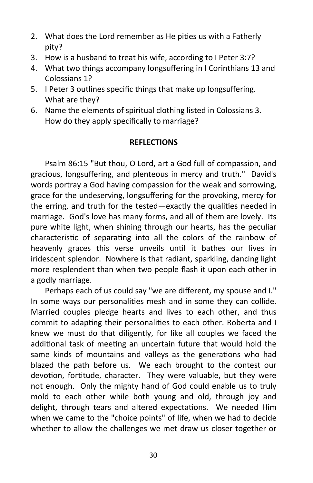- 2. What does the Lord remember as He pities us with a Fatherly pity?
- 3. How is a husband to treat his wife, according to I Peter 3:7?
- 4. What two things accompany longsuffering in I Corinthians 13 and Colossians 1?
- 5. I Peter 3 outlines specific things that make up longsuffering. What are they?
- 6. Name the elements of spiritual clothing listed in Colossians 3. How do they apply specifically to marriage?

# **REFLECTIONS**

Psalm 86:15 "But thou, O Lord, art a God full of compassion, and gracious, longsuffering, and plenteous in mercy and truth." David's words portray a God having compassion for the weak and sorrowing, grace for the undeserving, longsuffering for the provoking, mercy for the erring, and truth for the tested—exactly the qualities needed in marriage. God's love has many forms, and all of them are lovely. Its pure white light, when shining through our hearts, has the peculiar characteristic of separating into all the colors of the rainbow of heavenly graces this verse unveils until it bathes our lives in iridescent splendor. Nowhere is that radiant, sparkling, dancing light more resplendent than when two people flash it upon each other in a godly marriage.

Perhaps each of us could say "we are different, my spouse and I." In some ways our personalities mesh and in some they can collide. Married couples pledge hearts and lives to each other, and thus commit to adapting their personalities to each other. Roberta and I knew we must do that diligently, for like all couples we faced the additional task of meeting an uncertain future that would hold the same kinds of mountains and valleys as the generations who had blazed the path before us. We each brought to the contest our devotion, fortitude, character. They were valuable, but they were not enough. Only the mighty hand of God could enable us to truly mold to each other while both young and old, through joy and delight, through tears and altered expectations. We needed Him when we came to the "choice points" of life, when we had to decide whether to allow the challenges we met draw us closer together or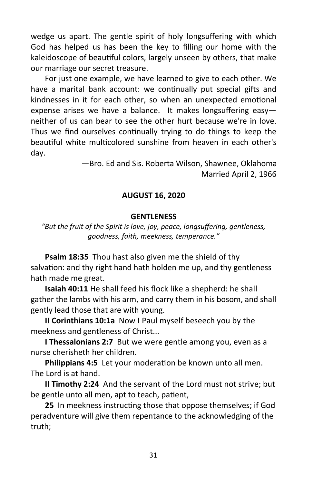wedge us apart. The gentle spirit of holy longsuffering with which God has helped us has been the key to filling our home with the kaleidoscope of beautiful colors, largely unseen by others, that make our marriage our secret treasure.

For just one example, we have learned to give to each other. We have a marital bank account: we continually put special gifts and kindnesses in it for each other, so when an unexpected emotional expense arises we have a balance. It makes longsuffering easy neither of us can bear to see the other hurt because we're in love. Thus we find ourselves continually trying to do things to keep the beautiful white multicolored sunshine from heaven in each other's day.

> —Bro. Ed and Sis. Roberta Wilson, Shawnee, Oklahoma Married April 2, 1966

# **AUGUST 16, 2020**

#### **GENTLENESS**

*"But the fruit of the Spirit is love, joy, peace, longsuffering, gentleness, goodness, faith, meekness, temperance."*

**Psalm 18:35** Thou hast also given me the shield of thy salvation: and thy right hand hath holden me up, and thy gentleness hath made me great.

**Isaiah 40:11** He shall feed his flock like a shepherd: he shall gather the lambs with his arm, and carry them in his bosom, and shall gently lead those that are with young.

**II Corinthians 10:1a** Now I Paul myself beseech you by the meekness and gentleness of Christ...

**I Thessalonians 2:7** But we were gentle among you, even as a nurse cherisheth her children.

**Philippians 4:5** Let your moderation be known unto all men. The Lord is at hand.

**II Timothy 2:24** And the servant of the Lord must not strive; but be gentle unto all men, apt to teach, patient,

**25** In meekness instructing those that oppose themselves; if God peradventure will give them repentance to the acknowledging of the truth;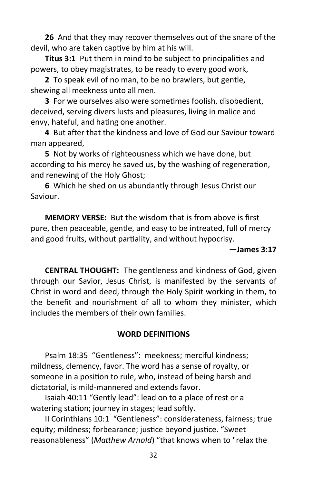**26** And that they may recover themselves out of the snare of the devil, who are taken captive by him at his will.

**Titus 3:1** Put them in mind to be subject to principalities and powers, to obey magistrates, to be ready to every good work,

**2** To speak evil of no man, to be no brawlers, but gentle, shewing all meekness unto all men.

**3** For we ourselves also were sometimes foolish, disobedient, deceived, serving divers lusts and pleasures, living in malice and envy, hateful, and hating one another.

**4** But after that the kindness and love of God our Saviour toward man appeared,

**5** Not by works of righteousness which we have done, but according to his mercy he saved us, by the washing of regeneration, and renewing of the Holy Ghost;

**6** Which he shed on us abundantly through Jesus Christ our Saviour.

**MEMORY VERSE:** But the wisdom that is from above is first pure, then peaceable, gentle, and easy to be intreated, full of mercy and good fruits, without partiality, and without hypocrisy.

# **—James 3:17**

**CENTRAL THOUGHT:** The gentleness and kindness of God, given through our Savior, Jesus Christ, is manifested by the servants of Christ in word and deed, through the Holy Spirit working in them, to the benefit and nourishment of all to whom they minister, which includes the members of their own families.

#### **WORD DEFINITIONS**

Psalm 18:35 "Gentleness": meekness; merciful kindness; mildness, clemency, favor. The word has a sense of royalty, or someone in a position to rule, who, instead of being harsh and dictatorial, is mild-mannered and extends favor.

Isaiah 40:11 "Gently lead": lead on to a place of rest or a watering station; journey in stages; lead softly.

II Corinthians 10:1 "Gentleness": considerateness, fairness; true equity; mildness; forbearance; justice beyond justice. "Sweet reasonableness" (*Matthew Arnold*) "that knows when to "relax the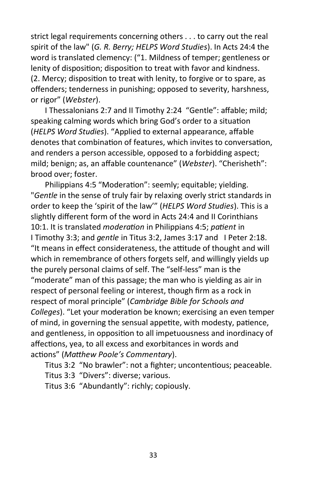strict legal requirements concerning others . . . to carry out the real spirit of the law" (*G. R. Berry; HELPS Word Studies*). In Acts 24:4 the word is translated clemency: ("1. Mildness of temper; gentleness or lenity of disposition; disposition to treat with favor and kindness. (2. Mercy; disposition to treat with lenity, to forgive or to spare, as offenders; tenderness in punishing; opposed to severity, harshness, or rigor" (*Webster*).

I Thessalonians 2:7 and II Timothy 2:24 "Gentle": affable; mild; speaking calming words which bring God's order to a situation (*HELPS Word Studies*). "Applied to external appearance, affable denotes that combination of features, which invites to conversation, and renders a person accessible, opposed to a forbidding aspect; mild; benign; as, an affable countenance" (*Webster*). "Cherisheth": brood over; foster.

Philippians 4:5 "Moderation": seemly; equitable; yielding. "*Gentle* in the sense of truly fair by relaxing overly strict standards in order to keep the 'spirit of the law'" (*HELPS Word Studies*). This is a slightly different form of the word in Acts 24:4 and II Corinthians 10:1. It is translated *moderation* in Philippians 4:5; *patient* in I Timothy 3:3; and *gentle* in Titus 3:2, James 3:17 and I Peter 2:18. "It means in effect considerateness, the attitude of thought and will which in remembrance of others forgets self, and willingly yields up the purely personal claims of self. The "self-less" man is the "moderate" man of this passage; the man who is yielding as air in respect of personal feeling or interest, though firm as a rock in respect of moral principle" (*Cambridge Bible for Schools and Colleges*). "Let your moderation be known; exercising an even temper of mind, in governing the sensual appetite, with modesty, patience, and gentleness, in opposition to all impetuousness and inordinacy of affections, yea, to all excess and exorbitances in words and actions" (*Matthew Poole's Commentary*).

Titus 3:2 "No brawler": not a fighter; uncontentious; peaceable.

Titus 3:3 "Divers": diverse; various.

Titus 3:6 "Abundantly": richly; copiously.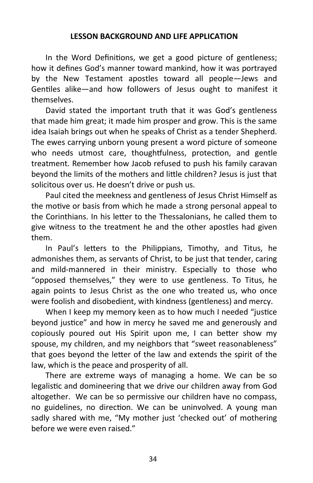#### **LESSON BACKGROUND AND LIFE APPLICATION**

In the Word Definitions, we get a good picture of gentleness; how it defines God's manner toward mankind, how it was portrayed by the New Testament apostles toward all people—Jews and Gentiles alike—and how followers of Jesus ought to manifest it themselves.

David stated the important truth that it was God's gentleness that made him great; it made him prosper and grow. This is the same idea Isaiah brings out when he speaks of Christ as a tender Shepherd. The ewes carrying unborn young present a word picture of someone who needs utmost care, thoughtfulness, protection, and gentle treatment. Remember how Jacob refused to push his family caravan beyond the limits of the mothers and little children? Jesus is just that solicitous over us. He doesn't drive or push us.

Paul cited the meekness and gentleness of Jesus Christ Himself as the motive or basis from which he made a strong personal appeal to the Corinthians. In his letter to the Thessalonians, he called them to give witness to the treatment he and the other apostles had given them.

In Paul's letters to the Philippians, Timothy, and Titus, he admonishes them, as servants of Christ, to be just that tender, caring and mild-mannered in their ministry. Especially to those who "opposed themselves," they were to use gentleness. To Titus, he again points to Jesus Christ as the one who treated us, who once were foolish and disobedient, with kindness (gentleness) and mercy.

When I keep my memory keen as to how much I needed "justice beyond justice" and how in mercy he saved me and generously and copiously poured out His Spirit upon me, I can better show my spouse, my children, and my neighbors that "sweet reasonableness" that goes beyond the letter of the law and extends the spirit of the law, which is the peace and prosperity of all.

There are extreme ways of managing a home. We can be so legalistic and domineering that we drive our children away from God altogether. We can be so permissive our children have no compass, no guidelines, no direction. We can be uninvolved. A young man sadly shared with me, "My mother just 'checked out' of mothering before we were even raised."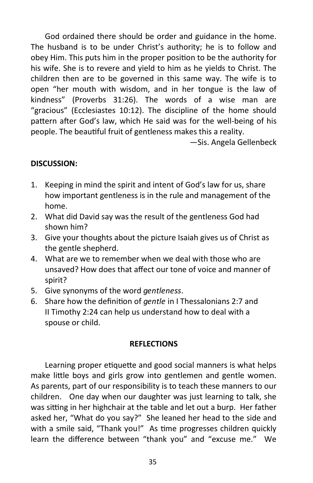God ordained there should be order and guidance in the home. The husband is to be under Christ's authority; he is to follow and obey Him. This puts him in the proper position to be the authority for his wife. She is to revere and yield to him as he yields to Christ. The children then are to be governed in this same way. The wife is to open "her mouth with wisdom, and in her tongue is the law of kindness" (Proverbs 31:26). The words of a wise man are "gracious" (Ecclesiastes 10:12). The discipline of the home should pattern after God's law, which He said was for the well-being of his people. The beautiful fruit of gentleness makes this a reality.

—Sis. Angela Gellenbeck

# **DISCUSSION:**

- 1. Keeping in mind the spirit and intent of God's law for us, share how important gentleness is in the rule and management of the home.
- 2. What did David say was the result of the gentleness God had shown him?
- 3. Give your thoughts about the picture Isaiah gives us of Christ as the gentle shepherd.
- 4. What are we to remember when we deal with those who are unsaved? How does that affect our tone of voice and manner of spirit?
- 5. Give synonyms of the word *gentleness*.
- 6. Share how the definition of *gentle* in I Thessalonians 2:7 and II Timothy 2:24 can help us understand how to deal with a spouse or child.

# **REFLECTIONS**

Learning proper etiquette and good social manners is what helps make little boys and girls grow into gentlemen and gentle women. As parents, part of our responsibility is to teach these manners to our children. One day when our daughter was just learning to talk, she was sitting in her highchair at the table and let out a burp. Her father asked her, "What do you say?" She leaned her head to the side and with a smile said, "Thank you!" As time progresses children quickly learn the difference between "thank you" and "excuse me." We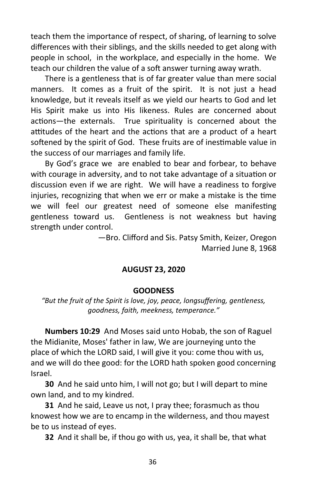teach them the importance of respect, of sharing, of learning to solve differences with their siblings, and the skills needed to get along with people in school, in the workplace, and especially in the home. We teach our children the value of a soft answer turning away wrath.

There is a gentleness that is of far greater value than mere social manners. It comes as a fruit of the spirit. It is not just a head knowledge, but it reveals itself as we yield our hearts to God and let His Spirit make us into His likeness. Rules are concerned about actions—the externals. True spirituality is concerned about the attitudes of the heart and the actions that are a product of a heart softened by the spirit of God. These fruits are of inestimable value in the success of our marriages and family life.

By God's grace we are enabled to bear and forbear, to behave with courage in adversity, and to not take advantage of a situation or discussion even if we are right. We will have a readiness to forgive injuries, recognizing that when we err or make a mistake is the time we will feel our greatest need of someone else manifesting gentleness toward us. Gentleness is not weakness but having strength under control.

> —Bro. Clifford and Sis. Patsy Smith, Keizer, Oregon Married June 8, 1968

# **AUGUST 23, 2020**

#### **GOODNESS**

*"But the fruit of the Spirit is love, joy, peace, longsuffering, gentleness, goodness, faith, meekness, temperance."*

**Numbers 10:29** And Moses said unto Hobab, the son of Raguel the Midianite, Moses' father in law, We are journeying unto the place of which the LORD said, I will give it you: come thou with us, and we will do thee good: for the LORD hath spoken good concerning Israel.

**30** And he said unto him, I will not go; but I will depart to mine own land, and to my kindred.

**31** And he said, Leave us not, I pray thee; forasmuch as thou knowest how we are to encamp in the wilderness, and thou mayest be to us instead of eyes.

**32** And it shall be, if thou go with us, yea, it shall be, that what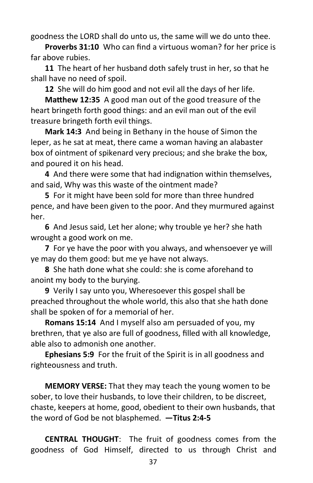goodness the LORD shall do unto us, the same will we do unto thee.

**Proverbs 31:10** Who can find a virtuous woman? for her price is far above rubies.

**11** The heart of her husband doth safely trust in her, so that he shall have no need of spoil.

**12** She will do him good and not evil all the days of her life.

**Matthew 12:35** A good man out of the good treasure of the heart bringeth forth good things: and an evil man out of the evil treasure bringeth forth evil things.

**Mark 14:3** And being in Bethany in the house of Simon the leper, as he sat at meat, there came a woman having an alabaster box of ointment of spikenard very precious; and she brake the box, and poured it on his head.

**4** And there were some that had indignation within themselves, and said, Why was this waste of the ointment made?

**5** For it might have been sold for more than three hundred pence, and have been given to the poor. And they murmured against her.

**6** And Jesus said, Let her alone; why trouble ye her? she hath wrought a good work on me.

**7** For ye have the poor with you always, and whensoever ye will ye may do them good: but me ye have not always.

**8** She hath done what she could: she is come aforehand to anoint my body to the burying.

**9** Verily I say unto you, Wheresoever this gospel shall be preached throughout the whole world, this also that she hath done shall be spoken of for a memorial of her.

**Romans 15:14** And I myself also am persuaded of you, my brethren, that ye also are full of goodness, filled with all knowledge, able also to admonish one another.

**Ephesians 5:9** For the fruit of the Spirit is in all goodness and righteousness and truth.

**MEMORY VERSE:** That they may teach the young women to be sober, to love their husbands, to love their children, to be discreet, chaste, keepers at home, good, obedient to their own husbands, that the word of God be not blasphemed. **—Titus 2:4-5**

**CENTRAL THOUGHT**: The fruit of goodness comes from the goodness of God Himself, directed to us through Christ and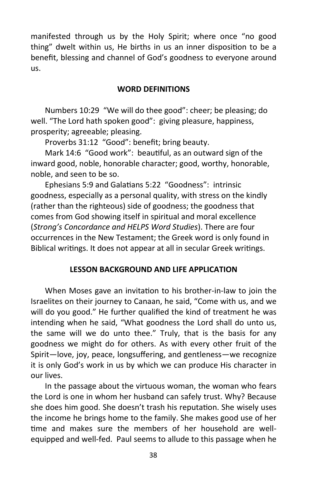manifested through us by the Holy Spirit; where once "no good thing" dwelt within us, He births in us an inner disposition to be a benefit, blessing and channel of God's goodness to everyone around us.

#### **WORD DEFINITIONS**

Numbers 10:29 "We will do thee good": cheer; be pleasing; do well. "The Lord hath spoken good": giving pleasure, happiness, prosperity; agreeable; pleasing.

Proverbs 31:12 "Good": benefit; bring beauty.

Mark 14:6 "Good work": beautiful, as an outward sign of the inward good, noble, honorable character; good, worthy, honorable, noble, and seen to be so.

Ephesians 5:9 and Galatians 5:22 "Goodness": intrinsic goodness, especially as a personal quality, with stress on the kindly (rather than the righteous) side of goodness; the goodness that comes from God showing itself in spiritual and moral excellence (*Strong's Concordance and HELPS Word Studies*). There are four occurrences in the New Testament; the Greek word is only found in Biblical writings. It does not appear at all in secular Greek writings.

#### **LESSON BACKGROUND AND LIFE APPLICATION**

When Moses gave an invitation to his brother-in-law to join the Israelites on their journey to Canaan, he said, "Come with us, and we will do you good." He further qualified the kind of treatment he was intending when he said, "What goodness the Lord shall do unto us, the same will we do unto thee." Truly, that is the basis for any goodness we might do for others. As with every other fruit of the Spirit—love, joy, peace, longsuffering, and gentleness—we recognize it is only God's work in us by which we can produce His character in our lives.

In the passage about the virtuous woman, the woman who fears the Lord is one in whom her husband can safely trust. Why? Because she does him good. She doesn't trash his reputation. She wisely uses the income he brings home to the family. She makes good use of her time and makes sure the members of her household are wellequipped and well-fed. Paul seems to allude to this passage when he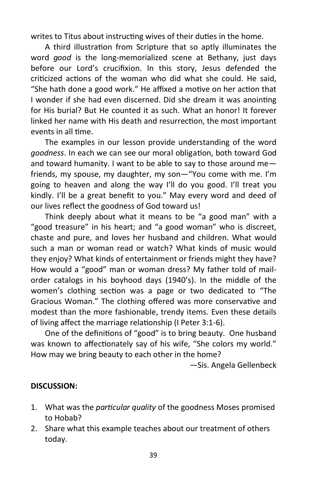writes to Titus about instructing wives of their duties in the home.

A third illustration from Scripture that so aptly illuminates the word *good* is the long-memorialized scene at Bethany, just days before our Lord's crucifixion. In this story, Jesus defended the criticized actions of the woman who did what she could. He said, "She hath done a good work." He affixed a motive on her action that I wonder if she had even discerned. Did she dream it was anointing for His burial? But He counted it as such. What an honor! It forever linked her name with His death and resurrection, the most important events in all time.

The examples in our lesson provide understanding of the word *goodness*. In each we can see our moral obligation, both toward God and toward humanity. I want to be able to say to those around me friends, my spouse, my daughter, my son—"You come with me. I'm going to heaven and along the way I'll do you good. I'll treat you kindly. I'll be a great benefit to you." May every word and deed of our lives reflect the goodness of God toward us!

Think deeply about what it means to be "a good man" with a "good treasure" in his heart; and "a good woman" who is discreet, chaste and pure, and loves her husband and children. What would such a man or woman read or watch? What kinds of music would they enjoy? What kinds of entertainment or friends might they have? How would a "good" man or woman dress? My father told of mailorder catalogs in his boyhood days (1940's). In the middle of the women's clothing section was a page or two dedicated to "The Gracious Woman." The clothing offered was more conservative and modest than the more fashionable, trendy items. Even these details of living affect the marriage relationship (I Peter 3:1-6).

One of the definitions of "good" is to bring beauty. One husband was known to affectionately say of his wife, "She colors my world." How may we bring beauty to each other in the home?

—Sis. Angela Gellenbeck

# **DISCUSSION:**

- 1. What was the *particular quality* of the goodness Moses promised to Hobab?
- 2. Share what this example teaches about our treatment of others today.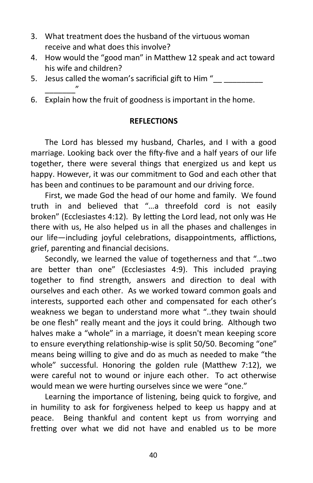- 3. What treatment does the husband of the virtuous woman receive and what does this involve?
- 4. How would the "good man" in Matthew 12 speak and act toward his wife and children?
- 5. Jesus called the woman's sacrificial gift to Him " \_\_\_\_\_\_\_"
- 6. Explain how the fruit of goodness is important in the home.

#### **REFLECTIONS**

The Lord has blessed my husband, Charles, and I with a good marriage. Looking back over the fifty-five and a half years of our life together, there were several things that energized us and kept us happy. However, it was our commitment to God and each other that has been and continues to be paramount and our driving force.

First, we made God the head of our home and family. We found truth in and believed that "…a threefold cord is not easily broken" (Ecclesiastes 4:12). By letting the Lord lead, not only was He there with us, He also helped us in all the phases and challenges in our life—including joyful celebrations, disappointments, afflictions, grief, parenting and financial decisions.

Secondly, we learned the value of togetherness and that "…two are better than one" (Ecclesiastes 4:9). This included praying together to find strength, answers and direction to deal with ourselves and each other. As we worked toward common goals and interests, supported each other and compensated for each other's weakness we began to understand more what "..they twain should be one flesh" really meant and the joys it could bring. Although two halves make a "whole" in a marriage, it doesn't mean keeping score to ensure everything relationship-wise is split 50/50. Becoming "one" means being willing to give and do as much as needed to make "the whole" successful. Honoring the golden rule (Matthew 7:12), we were careful not to wound or injure each other. To act otherwise would mean we were hurting ourselves since we were "one."

Learning the importance of listening, being quick to forgive, and in humility to ask for forgiveness helped to keep us happy and at peace. Being thankful and content kept us from worrying and fretting over what we did not have and enabled us to be more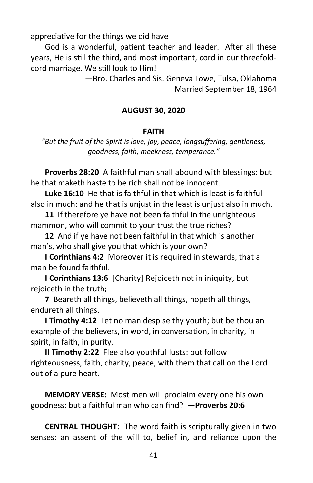appreciative for the things we did have

God is a wonderful, patient teacher and leader. After all these years, He is still the third, and most important, cord in our threefoldcord marriage. We still look to Him!

> —Bro. Charles and Sis. Geneva Lowe, Tulsa, Oklahoma Married September 18, 1964

# **AUGUST 30, 2020**

#### **FAITH**

*"But the fruit of the Spirit is love, joy, peace, longsuffering, gentleness, goodness, faith, meekness, temperance."*

**Proverbs 28:20** A faithful man shall abound with blessings: but he that maketh haste to be rich shall not be innocent.

**Luke 16:10** He that is faithful in that which is least is faithful also in much: and he that is unjust in the least is unjust also in much.

**11** If therefore ye have not been faithful in the unrighteous mammon, who will commit to your trust the true riches?

**12** And if ye have not been faithful in that which is another man's, who shall give you that which is your own?

**I Corinthians 4:2** Moreover it is required in stewards, that a man be found faithful.

**I Corinthians 13:6** [Charity] Rejoiceth not in iniquity, but rejoiceth in the truth;

**7** Beareth all things, believeth all things, hopeth all things, endureth all things.

**I Timothy 4:12** Let no man despise thy youth; but be thou an example of the believers, in word, in conversation, in charity, in spirit, in faith, in purity.

**II Timothy 2:22** Flee also youthful lusts: but follow righteousness, faith, charity, peace, with them that call on the Lord out of a pure heart.

**MEMORY VERSE:** Most men will proclaim every one his own goodness: but a faithful man who can find? **—Proverbs 20:6**

**CENTRAL THOUGHT**: The word faith is scripturally given in two senses: an assent of the will to, belief in, and reliance upon the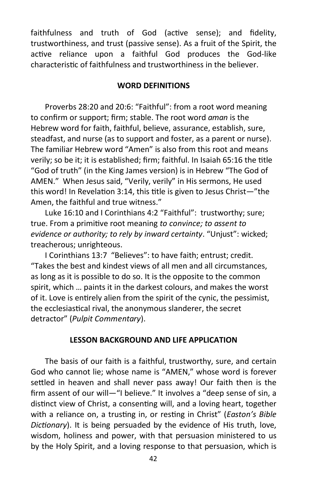faithfulness and truth of God (active sense); and fidelity, trustworthiness, and trust (passive sense). As a fruit of the Spirit, the active reliance upon a faithful God produces the God-like characteristic of faithfulness and trustworthiness in the believer.

#### **WORD DEFINITIONS**

Proverbs 28:20 and 20:6: "Faithful": from a root word meaning to confirm or support; firm; stable. The root word *aman* is the Hebrew word for faith, faithful, believe, assurance, establish, sure, steadfast, and nurse (as to support and foster, as a parent or nurse). The familiar Hebrew word "Amen" is also from this root and means verily; so be it; it is established; firm; faithful. In Isaiah 65:16 the title "God of truth" (in the King James version) is in Hebrew "The God of AMEN." When Jesus said, "Verily, verily" in His sermons, He used this word! In Revelation 3:14, this title is given to Jesus Christ—"the Amen, the faithful and true witness."

Luke 16:10 and I Corinthians 4:2 "Faithful": trustworthy; sure; true. From a primitive root meaning *to convince; to assent to evidence or authority; to rely by inward certainty*. "Unjust": wicked; treacherous; unrighteous.

I Corinthians 13:7 "Believes": to have faith; entrust; credit. "Takes the best and kindest views of all men and all circumstances, as long as it is possible to do so. It is the opposite to the common spirit, which … paints it in the darkest colours, and makes the worst of it. Love is entirely alien from the spirit of the cynic, the pessimist, the ecclesiastical rival, the anonymous slanderer, the secret detractor" (*Pulpit Commentary*).

#### **LESSON BACKGROUND AND LIFE APPLICATION**

The basis of our faith is a faithful, trustworthy, sure, and certain God who cannot lie; whose name is "AMEN," whose word is forever settled in heaven and shall never pass away! Our faith then is the firm assent of our will—"I believe." It involves a "deep sense of sin, a distinct view of Christ, a consenting will, and a loving heart, together with a reliance on, a trusting in, or resting in Christ" (*Easton's Bible Dictionary*). It is being persuaded by the evidence of His truth, love, wisdom, holiness and power, with that persuasion ministered to us by the Holy Spirit, and a loving response to that persuasion, which is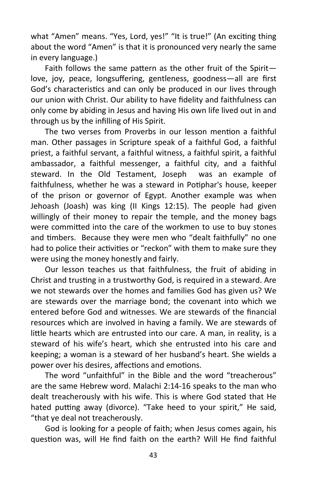what "Amen" means. "Yes, Lord, yes!" "It is true!" (An exciting thing about the word "Amen" is that it is pronounced very nearly the same in every language.)

Faith follows the same pattern as the other fruit of the Spirit love, joy, peace, longsuffering, gentleness, goodness—all are first God's characteristics and can only be produced in our lives through our union with Christ. Our ability to have fidelity and faithfulness can only come by abiding in Jesus and having His own life lived out in and through us by the infilling of His Spirit.

The two verses from Proverbs in our lesson mention a faithful man. Other passages in Scripture speak of a faithful God, a faithful priest, a faithful servant, a faithful witness, a faithful spirit, a faithful ambassador, a faithful messenger, a faithful city, and a faithful steward. In the Old Testament, Joseph was an example of faithfulness, whether he was a steward in Potiphar's house, keeper of the prison or governor of Egypt. Another example was when Jehoash (Joash) was king (II Kings 12:15). The people had given willingly of their money to repair the temple, and the money bags were committed into the care of the workmen to use to buy stones and timbers. Because they were men who "dealt faithfully" no one had to police their activities or "reckon" with them to make sure they were using the money honestly and fairly.

Our lesson teaches us that faithfulness, the fruit of abiding in Christ and trusting in a trustworthy God, is required in a steward. Are we not stewards over the homes and families God has given us? We are stewards over the marriage bond; the covenant into which we entered before God and witnesses. We are stewards of the financial resources which are involved in having a family. We are stewards of little hearts which are entrusted into our care. A man, in reality, is a steward of his wife's heart, which she entrusted into his care and keeping; a woman is a steward of her husband's heart. She wields a power over his desires, affections and emotions.

The word "unfaithful" in the Bible and the word "treacherous" are the same Hebrew word. Malachi 2:14-16 speaks to the man who dealt treacherously with his wife. This is where God stated that He hated putting away (divorce). "Take heed to your spirit," He said, "that ye deal not treacherously.

God is looking for a people of faith; when Jesus comes again, his question was, will He find faith on the earth? Will He find faithful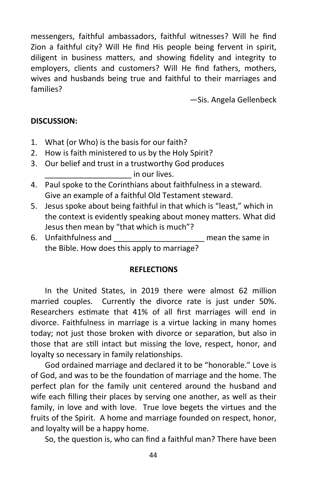messengers, faithful ambassadors, faithful witnesses? Will he find Zion a faithful city? Will He find His people being fervent in spirit, diligent in business matters, and showing fidelity and integrity to employers, clients and customers? Will He find fathers, mothers, wives and husbands being true and faithful to their marriages and families?

—Sis. Angela Gellenbeck

#### **DISCUSSION:**

- 1. What (or Who) is the basis for our faith?
- 2. How is faith ministered to us by the Holy Spirit?
- 3. Our belief and trust in a trustworthy God produces \_\_\_\_\_\_\_\_\_\_\_\_\_\_\_\_\_\_\_\_ in our lives.
- 4. Paul spoke to the Corinthians about faithfulness in a steward. Give an example of a faithful Old Testament steward.
- 5. Jesus spoke about being faithful in that which is "least," which in the context is evidently speaking about money matters. What did Jesus then mean by "that which is much"?
- 6. Unfaithfulness and \_\_\_\_\_\_\_\_\_\_\_\_\_\_\_\_\_\_\_\_\_ mean the same in the Bible. How does this apply to marriage?

#### **REFLECTIONS**

In the United States, in 2019 there were almost 62 million married couples. Currently the divorce rate is just under 50%. Researchers estimate that 41% of all first marriages will end in divorce. Faithfulness in marriage is a virtue lacking in many homes today; not just those broken with divorce or separation, but also in those that are still intact but missing the love, respect, honor, and loyalty so necessary in family relationships.

God ordained marriage and declared it to be "honorable." Love is of God, and was to be the foundation of marriage and the home. The perfect plan for the family unit centered around the husband and wife each filling their places by serving one another, as well as their family, in love and with love. True love begets the virtues and the fruits of the Spirit. A home and marriage founded on respect, honor, and loyalty will be a happy home.

So, the question is, who can find a faithful man? There have been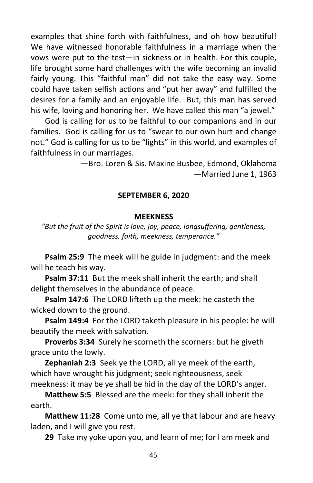examples that shine forth with faithfulness, and oh how beautiful! We have witnessed honorable faithfulness in a marriage when the vows were put to the test—in sickness or in health. For this couple, life brought some hard challenges with the wife becoming an invalid fairly young. This "faithful man" did not take the easy way. Some could have taken selfish actions and "put her away" and fulfilled the desires for a family and an enjoyable life. But, this man has served his wife, loving and honoring her. We have called this man "a jewel."

God is calling for us to be faithful to our companions and in our families. God is calling for us to "swear to our own hurt and change not." God is calling for us to be "lights" in this world, and examples of faithfulness in our marriages.

> —Bro. Loren & Sis. Maxine Busbee, Edmond, Oklahoma —Married June 1, 1963

#### **SEPTEMBER 6, 2020**

#### **MEEKNESS**

*"But the fruit of the Spirit is love, joy, peace, longsuffering, gentleness, goodness, faith, meekness, temperance."*

**Psalm 25:9** The meek will he guide in judgment: and the meek will he teach his way.

**Psalm 37:11** But the meek shall inherit the earth; and shall delight themselves in the abundance of peace.

**Psalm 147:6** The LORD lifteth up the meek: he casteth the wicked down to the ground.

**Psalm 149:4** For the LORD taketh pleasure in his people: he will beautify the meek with salvation.

**Proverbs 3:34** Surely he scorneth the scorners: but he giveth grace unto the lowly.

**Zephaniah 2:3** Seek ye the LORD, all ye meek of the earth, which have wrought his judgment; seek righteousness, seek meekness: it may be ye shall be hid in the day of the LORD's anger.

**Matthew 5:5** Blessed are the meek: for they shall inherit the earth.

**Matthew 11:28** Come unto me, all ye that labour and are heavy laden, and I will give you rest.

**29** Take my yoke upon you, and learn of me; for I am meek and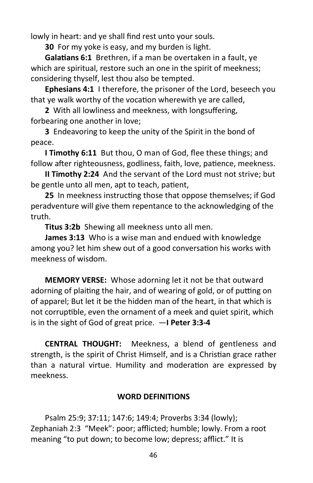lowly in heart: and ye shall find rest unto your souls.

**30** For my yoke is easy, and my burden is light.

**Galatians 6:1** Brethren, if a man be overtaken in a fault, ye which are spiritual, restore such an one in the spirit of meekness; considering thyself, lest thou also be tempted.

**Ephesians 4:1** I therefore, the prisoner of the Lord, beseech you that ye walk worthy of the vocation wherewith ye are called,

**2** With all lowliness and meekness, with longsuffering, forbearing one another in love;

**3** Endeavoring to keep the unity of the Spirit in the bond of peace.

**I Timothy 6:11** But thou, O man of God, flee these things; and follow after righteousness, godliness, faith, love, patience, meekness.

**II Timothy 2:24** And the servant of the Lord must not strive; but be gentle unto all men, apt to teach, patient,

**25** In meekness instructing those that oppose themselves; if God peradventure will give them repentance to the acknowledging of the truth.

**Titus 3:2b** Shewing all meekness unto all men.

**James 3:13** Who is a wise man and endued with knowledge among you? let him shew out of a good conversation his works with meekness of wisdom.

**MEMORY VERSE:** Whose adorning let it not be that outward adorning of plaiting the hair, and of wearing of gold, or of putting on of apparel; But let it be the hidden man of the heart, in that which is not corruptible, even the ornament of a meek and quiet spirit, which is in the sight of God of great price. —**I Peter 3:3-4**

**CENTRAL THOUGHT:** Meekness, a blend of gentleness and strength, is the spirit of Christ Himself, and is a Christian grace rather than a natural virtue. Humility and moderation are expressed by meekness.

# **WORD DEFINITIONS**

Psalm 25:9; 37:11; 147:6; 149:4; Proverbs 3:34 (lowly); Zephaniah 2:3 "Meek": poor; afflicted; humble; lowly. From a root meaning "to put down; to become low; depress; afflict." It is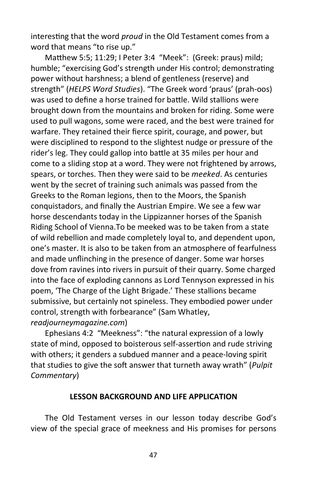interesting that the word *proud* in the Old Testament comes from a word that means "to rise up."

Matthew 5:5; 11:29; I Peter 3:4 "Meek": (Greek: praus) mild; humble; "exercising God's strength under His control; demonstrating power without harshness; a blend of gentleness (reserve) and strength" (*HELPS Word Studies*). "The Greek word 'praus' (prah-oos) was used to define a horse trained for battle. Wild stallions were brought down from the mountains and broken for riding. Some were used to pull wagons, some were raced, and the best were trained for warfare. They retained their fierce spirit, courage, and power, but were disciplined to respond to the slightest nudge or pressure of the rider's leg. They could gallop into battle at 35 miles per hour and come to a sliding stop at a word. They were not frightened by arrows, spears, or torches. Then they were said to be *meeked*. As centuries went by the secret of training such animals was passed from the Greeks to the Roman legions, then to the Moors, the Spanish conquistadors, and finally the Austrian Empire. We see a few war horse descendants today in the Lippizanner horses of the Spanish Riding School of Vienna.To be meeked was to be taken from a state of wild rebellion and made completely loyal to, and dependent upon, one's master. It is also to be taken from an atmosphere of fearfulness and made unflinching in the presence of danger. Some war horses dove from ravines into rivers in pursuit of their quarry. Some charged into the face of exploding cannons as Lord Tennyson expressed in his poem, 'The Charge of the Light Brigade.' These stallions became submissive, but certainly not spineless. They embodied power under control, strength with forbearance" (Sam Whatley, *readjourneymagazine.com*)

Ephesians 4:2 "Meekness": "the natural expression of a lowly state of mind, opposed to boisterous self-assertion and rude striving with others; it genders a subdued manner and a peace-loving spirit that studies to give the soft answer that turneth away wrath" (*Pulpit Commentary*)

#### **LESSON BACKGROUND AND LIFE APPLICATION**

The Old Testament verses in our lesson today describe God's view of the special grace of meekness and His promises for persons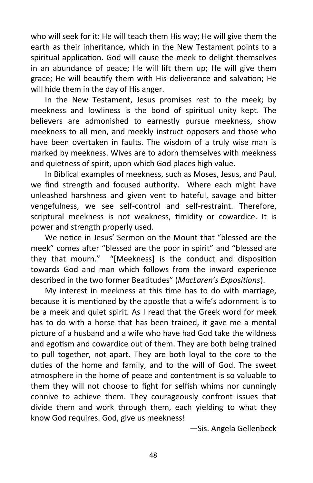who will seek for it: He will teach them His way; He will give them the earth as their inheritance, which in the New Testament points to a spiritual application. God will cause the meek to delight themselves in an abundance of peace; He will lift them up; He will give them grace; He will beautify them with His deliverance and salvation; He will hide them in the day of His anger.

In the New Testament, Jesus promises rest to the meek; by meekness and lowliness is the bond of spiritual unity kept. The believers are admonished to earnestly pursue meekness, show meekness to all men, and meekly instruct opposers and those who have been overtaken in faults. The wisdom of a truly wise man is marked by meekness. Wives are to adorn themselves with meekness and quietness of spirit, upon which God places high value.

In Biblical examples of meekness, such as Moses, Jesus, and Paul, we find strength and focused authority. Where each might have unleashed harshness and given vent to hateful, savage and bitter vengefulness, we see self-control and self-restraint. Therefore, scriptural meekness is not weakness, timidity or cowardice. It is power and strength properly used.

We notice in Jesus' Sermon on the Mount that "blessed are the meek" comes after "blessed are the poor in spirit" and "blessed are they that mourn." "[Meekness] is the conduct and disposition towards God and man which follows from the inward experience described in the two former Beatitudes" (*MacLaren's Expositions*).

My interest in meekness at this time has to do with marriage, because it is mentioned by the apostle that a wife's adornment is to be a meek and quiet spirit. As I read that the Greek word for meek has to do with a horse that has been trained, it gave me a mental picture of a husband and a wife who have had God take the wildness and egotism and cowardice out of them. They are both being trained to pull together, not apart. They are both loyal to the core to the duties of the home and family, and to the will of God. The sweet atmosphere in the home of peace and contentment is so valuable to them they will not choose to fight for selfish whims nor cunningly connive to achieve them. They courageously confront issues that divide them and work through them, each yielding to what they know God requires. God, give us meekness!

—Sis. Angela Gellenbeck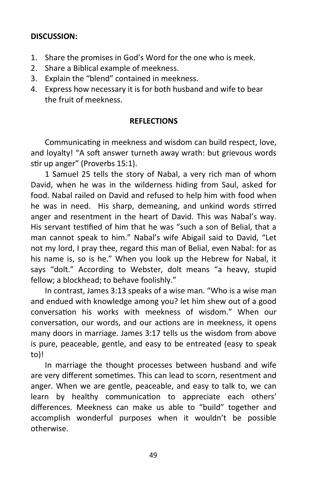# **DISCUSSION:**

- 1. Share the promises in God's Word for the one who is meek.
- 2. Share a Biblical example of meekness.
- 3. Explain the "blend" contained in meekness.
- 4. Express how necessary it is for both husband and wife to bear the fruit of meekness.

# **REFLECTIONS**

Communicating in meekness and wisdom can build respect, love, and loyalty! "A soft answer turneth away wrath: but grievous words stir up anger" (Proverbs 15:1).

1 Samuel 25 tells the story of Nabal, a very rich man of whom David, when he was in the wilderness hiding from Saul, asked for food. Nabal railed on David and refused to help him with food when he was in need. His sharp, demeaning, and unkind words stirred anger and resentment in the heart of David. This was Nabal's way. His servant testified of him that he was "such a son of Belial, that a man cannot speak to him." Nabal's wife Abigail said to David, "Let not my lord, I pray thee, regard this man of Belial, even Nabal: for as his name is, so is he." When you look up the Hebrew for Nabal, it says "dolt." According to Webster, dolt means "a heavy, stupid fellow; a blockhead; to behave foolishly."

In contrast, James 3:13 speaks of a wise man. "Who is a wise man and endued with knowledge among you? let him shew out of a good conversation his works with meekness of wisdom." When our conversation, our words, and our actions are in meekness, it opens many doors in marriage. James 3:17 tells us the wisdom from above is pure, peaceable, gentle, and easy to be entreated (easy to speak to)!

In marriage the thought processes between husband and wife are very different sometimes. This can lead to scorn, resentment and anger. When we are gentle, peaceable, and easy to talk to, we can learn by healthy communication to appreciate each others' differences. Meekness can make us able to "build" together and accomplish wonderful purposes when it wouldn't be possible otherwise.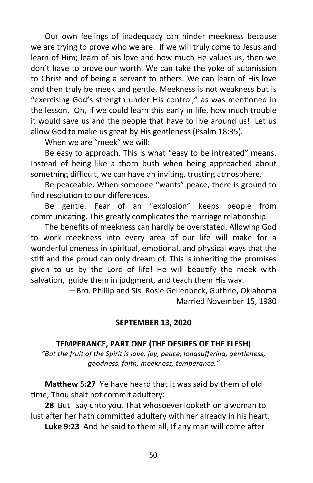Our own feelings of inadequacy can hinder meekness because we are trying to prove who we are. If we will truly come to Jesus and learn of Him; learn of his love and how much He values us, then we don't have to prove our worth. We can take the yoke of submission to Christ and of being a servant to others. We can learn of His love and then truly be meek and gentle. Meekness is not weakness but is "exercising God's strength under His control," as was mentioned in the lesson. Oh, if we could learn this early in life, how much trouble it would save us and the people that have to live around us! Let us allow God to make us great by His gentleness (Psalm 18:35).

When we are "meek" we will:

Be easy to approach. This is what "easy to be intreated" means. Instead of being like a thorn bush when being approached about something difficult, we can have an inviting, trusting atmosphere.

Be peaceable. When someone "wants" peace, there is ground to find resolution to our differences.

Be gentle. Fear of an "explosion" keeps people from communicating. This greatly complicates the marriage relationship.

The benefits of meekness can hardly be overstated. Allowing God to work meekness into every area of our life will make for a wonderful oneness in spiritual, emotional, and physical ways that the stiff and the proud can only dream of. This is inheriting the promises given to us by the Lord of life! He will beautify the meek with salvation, guide them in judgment, and teach them His way.

> —Bro. Phillip and Sis. Rosie Gellenbeck, Guthrie, Oklahoma Married November 15, 1980

# **SEPTEMBER 13, 2020**

# **TEMPERANCE, PART ONE (THE DESIRES OF THE FLESH)**

*"But the fruit of the Spirit is love, joy, peace, longsuffering, gentleness, goodness, faith, meekness, temperance."*

**Matthew 5:27** Ye have heard that it was said by them of old time, Thou shalt not commit adultery:

**28** But I say unto you, That whosoever looketh on a woman to lust after her hath committed adultery with her already in his heart.

**Luke 9:23** And he said to them all, If any man will come after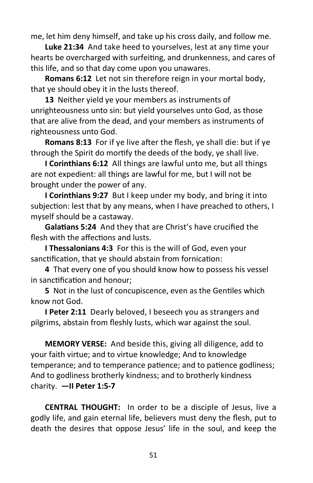me, let him deny himself, and take up his cross daily, and follow me.

**Luke 21:34** And take heed to yourselves, lest at any time your hearts be overcharged with surfeiting, and drunkenness, and cares of this life, and so that day come upon you unawares.

**Romans 6:12** Let not sin therefore reign in your mortal body, that ye should obey it in the lusts thereof.

**13** Neither yield ye your members as instruments of unrighteousness unto sin: but yield yourselves unto God, as those that are alive from the dead, and your members as instruments of righteousness unto God.

**Romans 8:13** For if ye live after the flesh, ye shall die: but if ye through the Spirit do mortify the deeds of the body, ye shall live.

**I Corinthians 6:12** All things are lawful unto me, but all things are not expedient: all things are lawful for me, but I will not be brought under the power of any.

**I Corinthians 9:27** But I keep under my body, and bring it into subjection: lest that by any means, when I have preached to others, I myself should be a castaway.

**Galatians 5:24** And they that are Christ's have crucified the flesh with the affections and lusts.

**I Thessalonians 4:3** For this is the will of God, even your sanctification, that ye should abstain from fornication:

**4** That every one of you should know how to possess his vessel in sanctification and honour;

**5** Not in the lust of concupiscence, even as the Gentiles which know not God.

**I Peter 2:11** Dearly beloved, I beseech you as strangers and pilgrims, abstain from fleshly lusts, which war against the soul.

**MEMORY VERSE:** And beside this, giving all diligence, add to your faith virtue; and to virtue knowledge; And to knowledge temperance; and to temperance patience; and to patience godliness; And to godliness brotherly kindness; and to brotherly kindness charity. **—II Peter 1:5-7**

**CENTRAL THOUGHT:** In order to be a disciple of Jesus, live a godly life, and gain eternal life, believers must deny the flesh, put to death the desires that oppose Jesus' life in the soul, and keep the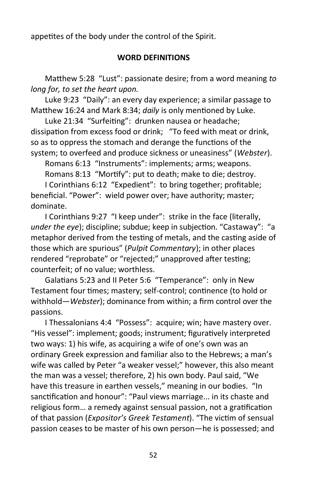appetites of the body under the control of the Spirit.

# **WORD DEFINITIONS**

Matthew 5:28 "Lust": passionate desire; from a word meaning *to long for, to set the heart upon.*

Luke 9:23 "Daily": an every day experience; a similar passage to Matthew 16:24 and Mark 8:34; *daily* is only mentioned by Luke.

Luke 21:34 "Surfeiting": drunken nausea or headache; dissipation from excess food or drink; "To feed with meat or drink, so as to oppress the stomach and derange the functions of the system; to overfeed and produce sickness or uneasiness" (*Webster*).

Romans 6:13 "Instruments": implements; arms; weapons.

Romans 8:13 "Mortify": put to death; make to die; destroy.

I Corinthians 6:12 "Expedient": to bring together; profitable; beneficial. "Power": wield power over; have authority; master; dominate.

I Corinthians 9:27 "I keep under": strike in the face (literally, *under the eye*); discipline; subdue; keep in subjection. "Castaway": "a metaphor derived from the testing of metals, and the casting aside of those which are spurious" (*Pulpit Commentary*); in other places rendered "reprobate" or "rejected;" unapproved after testing; counterfeit; of no value; worthless.

Galatians 5:23 and II Peter 5:6 "Temperance": only in New Testament four times; mastery; self-control; continence (to hold or withhold—*Webster*); dominance from within; a firm control over the passions.

I Thessalonians 4:4 "Possess": acquire; win; have mastery over. "His vessel": implement; goods; instrument; figuratively interpreted two ways: 1) his wife, as acquiring a wife of one's own was an ordinary Greek expression and familiar also to the Hebrews; a man's wife was called by Peter "a weaker vessel;" however, this also meant the man was a vessel; therefore, 2) his own body. Paul said, "We have this treasure in earthen vessels," meaning in our bodies. "In sanctification and honour": "Paul views marriage... in its chaste and religious form… a remedy against sensual passion, not a gratification of that passion (*Expositor's Greek Testament*). "The victim of sensual passion ceases to be master of his own person—he is possessed; and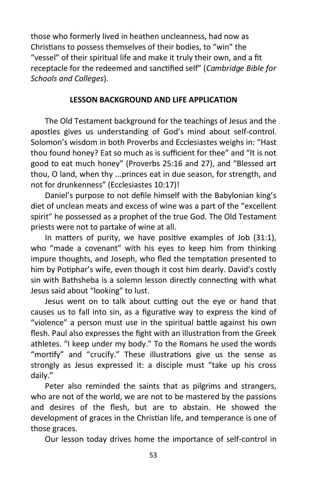those who formerly lived in heathen uncleanness, had now as Christians to possess themselves of their bodies, to "win" the "vessel" of their spiritual life and make it truly their own, and a fit receptacle for the redeemed and sanctified self" (*Cambridge Bible for Schools and Colleges*).

# **LESSON BACKGROUND AND LIFE APPLICATION**

The Old Testament background for the teachings of Jesus and the apostles gives us understanding of God's mind about self-control. Solomon's wisdom in both Proverbs and Ecclesiastes weighs in: "Hast thou found honey? Eat so much as is sufficient for thee" and "It is not good to eat much honey" (Proverbs 25:16 and 27), and "Blessed art thou, O land, when thy ...princes eat in due season, for strength, and not for drunkenness" (Ecclesiastes 10:17)!

Daniel's purpose to not defile himself with the Babylonian king's diet of unclean meats and excess of wine was a part of the "excellent spirit" he possessed as a prophet of the true God. The Old Testament priests were not to partake of wine at all.

In matters of purity, we have positive examples of Job (31:1), who "made a covenant" with his eyes to keep him from thinking impure thoughts, and Joseph, who fled the temptation presented to him by Potiphar's wife, even though it cost him dearly. David's costly sin with Bathsheba is a solemn lesson directly connecting with what Jesus said about "looking" to lust.

Jesus went on to talk about cutting out the eye or hand that causes us to fall into sin, as a figurative way to express the kind of "violence" a person must use in the spiritual battle against his own flesh. Paul also expresses the fight with an illustration from the Greek athletes. "I keep under my body." To the Romans he used the words "mortify" and "crucify." These illustrations give us the sense as strongly as Jesus expressed it: a disciple must "take up his cross daily."

Peter also reminded the saints that as pilgrims and strangers, who are not of the world, we are not to be mastered by the passions and desires of the flesh, but are to abstain. He showed the development of graces in the Christian life, and temperance is one of those graces.

Our lesson today drives home the importance of self-control in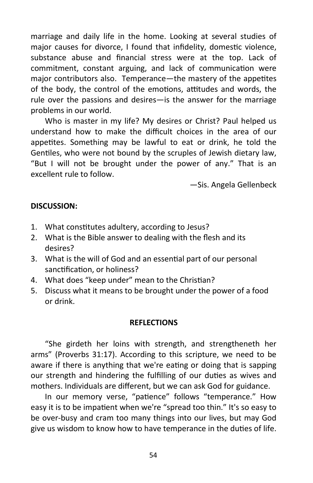marriage and daily life in the home. Looking at several studies of major causes for divorce, I found that infidelity, domestic violence, substance abuse and financial stress were at the top. Lack of commitment, constant arguing, and lack of communication were major contributors also. Temperance—the mastery of the appetites of the body, the control of the emotions, attitudes and words, the rule over the passions and desires—is the answer for the marriage problems in our world.

Who is master in my life? My desires or Christ? Paul helped us understand how to make the difficult choices in the area of our appetites. Something may be lawful to eat or drink, he told the Gentiles, who were not bound by the scruples of Jewish dietary law, "But I will not be brought under the power of any." That is an excellent rule to follow.

—Sis. Angela Gellenbeck

#### **DISCUSSION:**

- 1. What constitutes adultery, according to Jesus?
- 2. What is the Bible answer to dealing with the flesh and its desires?
- 3. What is the will of God and an essential part of our personal sanctification, or holiness?
- 4. What does "keep under" mean to the Christian?
- 5. Discuss what it means to be brought under the power of a food or drink.

#### **REFLECTIONS**

"She girdeth her loins with strength, and strengtheneth her arms" (Proverbs 31:17). According to this scripture, we need to be aware if there is anything that we're eating or doing that is sapping our strength and hindering the fulfilling of our duties as wives and mothers. Individuals are different, but we can ask God for guidance.

In our memory verse, "patience" follows "temperance." How easy it is to be impatient when we're "spread too thin." It's so easy to be over-busy and cram too many things into our lives, but may God give us wisdom to know how to have temperance in the duties of life.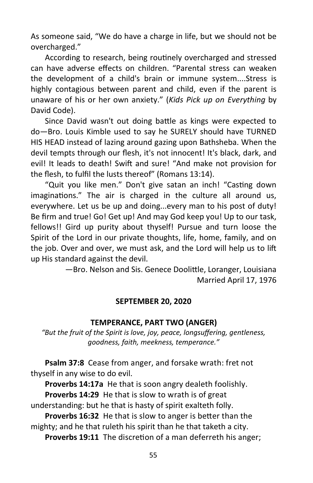As someone said, "We do have a charge in life, but we should not be overcharged."

According to research, being routinely overcharged and stressed can have adverse effects on children. "Parental stress can weaken the development of a child's brain or immune system....Stress is highly contagious between parent and child, even if the parent is unaware of his or her own anxiety." (*Kids Pick up on Everything* by David Code).

Since David wasn't out doing battle as kings were expected to do—Bro. Louis Kimble used to say he SURELY should have TURNED HIS HEAD instead of lazing around gazing upon Bathsheba. When the devil tempts through our flesh, it's not innocent! It's black, dark, and evil! It leads to death! Swift and sure! "And make not provision for the flesh, to fulfil the lusts thereof" (Romans 13:14).

"Quit you like men." Don't give satan an inch! "Casting down imaginations." The air is charged in the culture all around us, everywhere. Let us be up and doing...every man to his post of duty! Be firm and true! Go! Get up! And may God keep you! Up to our task, fellows!! Gird up purity about thyself! Pursue and turn loose the Spirit of the Lord in our private thoughts, life, home, family, and on the job. Over and over, we must ask, and the Lord will help us to lift up His standard against the devil.

> —Bro. Nelson and Sis. Genece Doolittle, Loranger, Louisiana Married April 17, 1976

# **SEPTEMBER 20, 2020**

#### **TEMPERANCE, PART TWO (ANGER)**

*"But the fruit of the Spirit is love, joy, peace, longsuffering, gentleness, goodness, faith, meekness, temperance."*

**Psalm 37:8** Cease from anger, and forsake wrath: fret not thyself in any wise to do evil.

**Proverbs 14:17a** He that is soon angry dealeth foolishly.

**Proverbs 14:29** He that is slow to wrath is of great understanding: but he that is hasty of spirit exalteth folly.

**Proverbs 16:32** He that is slow to anger is better than the mighty; and he that ruleth his spirit than he that taketh a city.

**Proverbs 19:11** The discretion of a man deferreth his anger;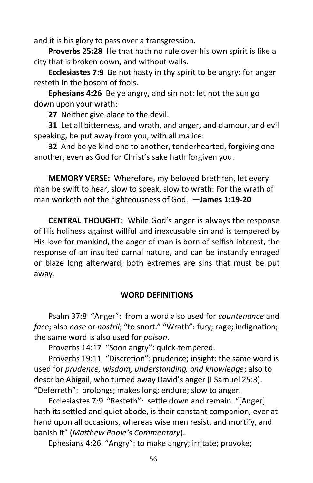and it is his glory to pass over a transgression.

**Proverbs 25:28** He that hath no rule over his own spirit is like a city that is broken down, and without walls.

**Ecclesiastes 7:9** Be not hasty in thy spirit to be angry: for anger resteth in the bosom of fools.

**Ephesians 4:26** Be ye angry, and sin not: let not the sun go down upon your wrath:

**27** Neither give place to the devil.

**31** Let all bitterness, and wrath, and anger, and clamour, and evil speaking, be put away from you, with all malice:

**32** And be ye kind one to another, tenderhearted, forgiving one another, even as God for Christ's sake hath forgiven you.

**MEMORY VERSE:** Wherefore, my beloved brethren, let every man be swift to hear, slow to speak, slow to wrath: For the wrath of man worketh not the righteousness of God. **—James 1:19-20**

**CENTRAL THOUGHT**: While God's anger is always the response of His holiness against willful and inexcusable sin and is tempered by His love for mankind, the anger of man is born of selfish interest, the response of an insulted carnal nature, and can be instantly enraged or blaze long afterward; both extremes are sins that must be put away.

# **WORD DEFINITIONS**

Psalm 37:8 "Anger": from a word also used for *countenance* and *face*; also *nose* or *nostril*; "to snort." "Wrath": fury; rage; indignation; the same word is also used for *poison*.

Proverbs 14:17 "Soon angry": quick-tempered.

Proverbs 19:11 "Discretion": prudence; insight: the same word is used for *prudence, wisdom, understanding, and knowledge*; also to describe Abigail, who turned away David's anger (I Samuel 25:3). "Deferreth": prolongs; makes long; endure; slow to anger.

Ecclesiastes 7:9 "Resteth": settle down and remain. "[Anger] hath its settled and quiet abode, is their constant companion, ever at hand upon all occasions, whereas wise men resist, and mortify, and banish it" (*Matthew Poole's Commentary*).

Ephesians 4:26 "Angry": to make angry; irritate; provoke;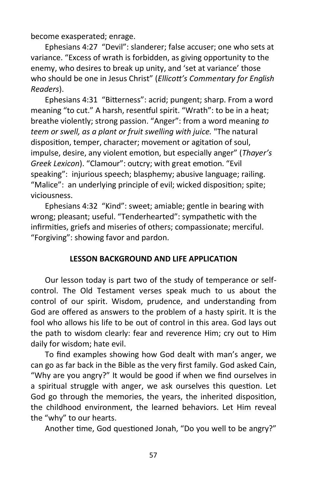become exasperated; enrage.

Ephesians 4:27 "Devil": slanderer; false accuser; one who sets at variance. "Excess of wrath is forbidden, as giving opportunity to the enemy, who desires to break up unity, and 'set at variance' those who should be one in Jesus Christ" (*Ellicott's Commentary for English Readers*).

Ephesians 4:31 "Bitterness": acrid; pungent; sharp. From a word meaning "to cut." A harsh, resentful spirit. "Wrath": to be in a heat; breathe violently; strong passion. "Anger": from a word meaning *to teem or swell, as a plant or fruit swelling with juice.* "The natural disposition, temper, character; movement or agitation of soul, impulse, desire, any violent emotion, but especially anger" (*Thayer's Greek Lexicon*). "Clamour": outcry; with great emotion. "Evil speaking": injurious speech; blasphemy; abusive language; railing. "Malice": an underlying principle of evil; wicked disposition; spite; viciousness.

Ephesians 4:32 "Kind": sweet; amiable; gentle in bearing with wrong; pleasant; useful. "Tenderhearted": sympathetic with the infirmities, griefs and miseries of others; compassionate; merciful. "Forgiving": showing favor and pardon.

# **LESSON BACKGROUND AND LIFE APPLICATION**

Our lesson today is part two of the study of temperance or selfcontrol. The Old Testament verses speak much to us about the control of our spirit. Wisdom, prudence, and understanding from God are offered as answers to the problem of a hasty spirit. It is the fool who allows his life to be out of control in this area. God lays out the path to wisdom clearly: fear and reverence Him; cry out to Him daily for wisdom; hate evil.

To find examples showing how God dealt with man's anger, we can go as far back in the Bible as the very first family. God asked Cain, "Why are you angry?" It would be good if when we find ourselves in a spiritual struggle with anger, we ask ourselves this question. Let God go through the memories, the years, the inherited disposition, the childhood environment, the learned behaviors. Let Him reveal the "why" to our hearts.

Another time, God questioned Jonah, "Do you well to be angry?"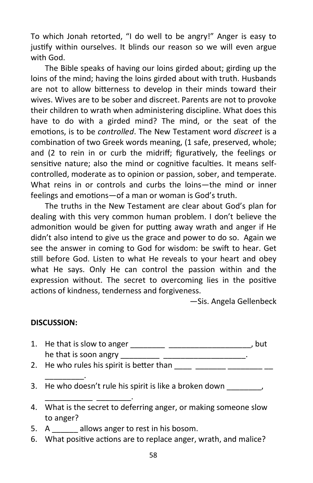To which Jonah retorted, "I do well to be angry!" Anger is easy to justify within ourselves. It blinds our reason so we will even argue with God.

The Bible speaks of having our loins girded about; girding up the loins of the mind; having the loins girded about with truth. Husbands are not to allow bitterness to develop in their minds toward their wives. Wives are to be sober and discreet. Parents are not to provoke their children to wrath when administering discipline. What does this have to do with a girded mind? The mind, or the seat of the emotions, is to be *controlled*. The New Testament word *discreet* is a combination of two Greek words meaning, (1 safe, preserved, whole; and (2 to rein in or curb the midriff; figuratively, the feelings or sensitive nature; also the mind or cognitive faculties. It means selfcontrolled, moderate as to opinion or passion, sober, and temperate. What reins in or controls and curbs the loins—the mind or inner feelings and emotions—of a man or woman is God's truth.

The truths in the New Testament are clear about God's plan for dealing with this very common human problem. I don't believe the admonition would be given for putting away wrath and anger if He didn't also intend to give us the grace and power to do so. Again we see the answer in coming to God for wisdom: be swift to hear. Get still before God. Listen to what He reveals to your heart and obey what He says. Only He can control the passion within and the expression without. The secret to overcoming lies in the positive actions of kindness, tenderness and forgiveness.

—Sis. Angela Gellenbeck

#### **DISCUSSION:**

\_\_\_\_\_\_\_\_\_.

\_\_\_\_\_\_\_\_\_\_\_ \_\_\_\_\_\_\_\_.

- 1. He that is slow to anger \_\_\_\_\_\_\_\_ \_\_\_\_\_\_\_\_\_\_\_\_\_\_\_\_\_\_\_, but he that is soon angry example that is soon angry the state of  $\mathbf{r}$ .
- 2. He who rules his spirit is better than  $\frac{1}{\sqrt{2}}$   $\frac{1}{\sqrt{2}}$   $\frac{1}{\sqrt{2}}$
- 3. He who doesn't rule his spirit is like a broken down
- 4. What is the secret to deferring anger, or making someone slow to anger?
- 5. A callows anger to rest in his bosom.
- 6. What positive actions are to replace anger, wrath, and malice?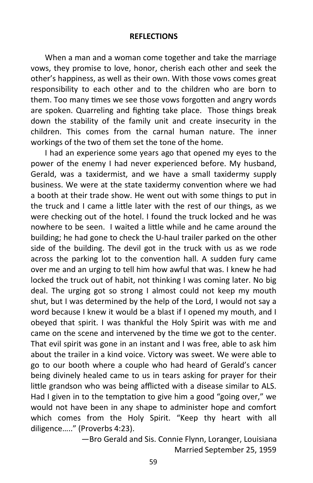#### **REFLECTIONS**

When a man and a woman come together and take the marriage vows, they promise to love, honor, cherish each other and seek the other's happiness, as well as their own. With those vows comes great responsibility to each other and to the children who are born to them. Too many times we see those vows forgotten and angry words are spoken. Quarreling and fighting take place. Those things break down the stability of the family unit and create insecurity in the children. This comes from the carnal human nature. The inner workings of the two of them set the tone of the home.

I had an experience some years ago that opened my eyes to the power of the enemy I had never experienced before. My husband, Gerald, was a taxidermist, and we have a small taxidermy supply business. We were at the state taxidermy convention where we had a booth at their trade show. He went out with some things to put in the truck and I came a little later with the rest of our things, as we were checking out of the hotel. I found the truck locked and he was nowhere to be seen. I waited a little while and he came around the building; he had gone to check the U-haul trailer parked on the other side of the building. The devil got in the truck with us as we rode across the parking lot to the convention hall. A sudden fury came over me and an urging to tell him how awful that was. I knew he had locked the truck out of habit, not thinking I was coming later. No big deal. The urging got so strong I almost could not keep my mouth shut, but I was determined by the help of the Lord, I would not say a word because I knew it would be a blast if I opened my mouth, and I obeyed that spirit. I was thankful the Holy Spirit was with me and came on the scene and intervened by the time we got to the center. That evil spirit was gone in an instant and I was free, able to ask him about the trailer in a kind voice. Victory was sweet. We were able to go to our booth where a couple who had heard of Gerald's cancer being divinely healed came to us in tears asking for prayer for their little grandson who was being afflicted with a disease similar to ALS. Had I given in to the temptation to give him a good "going over," we would not have been in any shape to administer hope and comfort which comes from the Holy Spirit. "Keep thy heart with all diligence….." (Proverbs 4:23).

> —Bro Gerald and Sis. Connie Flynn, Loranger, Louisiana Married September 25, 1959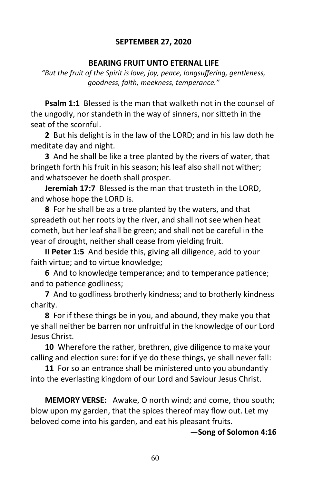# **SEPTEMBER 27, 2020**

#### **BEARING FRUIT UNTO ETERNAL LIFE**

*"But the fruit of the Spirit is love, joy, peace, longsuffering, gentleness, goodness, faith, meekness, temperance."*

**Psalm 1:1** Blessed is the man that walketh not in the counsel of the ungodly, nor standeth in the way of sinners, nor sitteth in the seat of the scornful.

**2** But his delight is in the law of the LORD; and in his law doth he meditate day and night.

**3** And he shall be like a tree planted by the rivers of water, that bringeth forth his fruit in his season; his leaf also shall not wither; and whatsoever he doeth shall prosper.

**Jeremiah 17:7** Blessed is the man that trusteth in the LORD, and whose hope the LORD is.

**8** For he shall be as a tree planted by the waters, and that spreadeth out her roots by the river, and shall not see when heat cometh, but her leaf shall be green; and shall not be careful in the year of drought, neither shall cease from yielding fruit.

**II Peter 1:5** And beside this, giving all diligence, add to your faith virtue; and to virtue knowledge;

**6** And to knowledge temperance; and to temperance patience; and to patience godliness;

**7** And to godliness brotherly kindness; and to brotherly kindness charity.

**8** For if these things be in you, and abound, they make you that ye shall neither be barren nor unfruitful in the knowledge of our Lord Jesus Christ.

**10** Wherefore the rather, brethren, give diligence to make your calling and election sure: for if ye do these things, ye shall never fall:

**11** For so an entrance shall be ministered unto you abundantly into the everlasting kingdom of our Lord and Saviour Jesus Christ.

**MEMORY VERSE:** Awake, O north wind; and come, thou south; blow upon my garden, that the spices thereof may flow out. Let my beloved come into his garden, and eat his pleasant fruits.

**—Song of Solomon 4:16**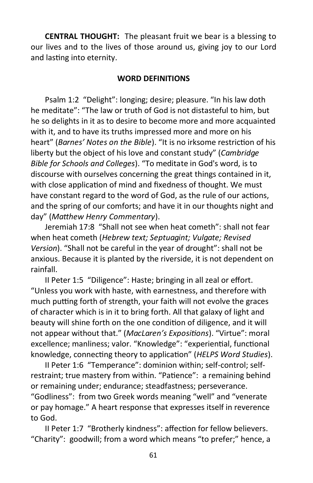**CENTRAL THOUGHT:** The pleasant fruit we bear is a blessing to our lives and to the lives of those around us, giving joy to our Lord and lasting into eternity.

#### **WORD DEFINITIONS**

Psalm 1:2 "Delight": longing; desire; pleasure. "In his law doth he meditate": "The law or truth of God is not distasteful to him, but he so delights in it as to desire to become more and more acquainted with it, and to have its truths impressed more and more on his heart" (*Barnes' Notes on the Bible*). "It is no irksome restriction of his liberty but the object of his love and constant study" (*Cambridge Bible for Schools and Colleges*). "To meditate in God's word, is to discourse with ourselves concerning the great things contained in it, with close application of mind and fixedness of thought. We must have constant regard to the word of God, as the rule of our actions, and the spring of our comforts; and have it in our thoughts night and day" (*Matthew Henry Commentary*).

Jeremiah 17:8 "Shall not see when heat cometh": shall not fear when heat cometh (*Hebrew text; Septuagint; Vulgate; Revised Version*). "Shall not be careful in the year of drought": shall not be anxious. Because it is planted by the riverside, it is not dependent on rainfall.

II Peter 1:5 "Diligence": Haste; bringing in all zeal or effort. "Unless you work with haste, with earnestness, and therefore with much putting forth of strength, your faith will not evolve the graces of character which is in it to bring forth. All that galaxy of light and beauty will shine forth on the one condition of diligence, and it will not appear without that." (*MacLaren's Expositions*). "Virtue": moral excellence; manliness; valor. "Knowledge": "experiential, functional knowledge, connecting theory to application" (*HELPS Word Studies*).

II Peter 1:6 "Temperance": dominion within; self-control; selfrestraint; true mastery from within. "Patience": a remaining behind or remaining under; endurance; steadfastness; perseverance. "Godliness": from two Greek words meaning "well" and "venerate or pay homage." A heart response that expresses itself in reverence to God.

II Peter 1:7 "Brotherly kindness": affection for fellow believers. "Charity": goodwill; from a word which means "to prefer;" hence, a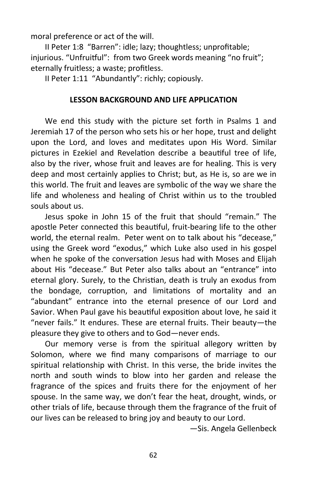moral preference or act of the will.

II Peter 1:8 "Barren": idle; lazy; thoughtless; unprofitable; injurious. "Unfruitful": from two Greek words meaning "no fruit"; eternally fruitless; a waste; profitless.

II Peter 1:11 "Abundantly": richly; copiously.

#### **LESSON BACKGROUND AND LIFE APPLICATION**

We end this study with the picture set forth in Psalms 1 and Jeremiah 17 of the person who sets his or her hope, trust and delight upon the Lord, and loves and meditates upon His Word. Similar pictures in Ezekiel and Revelation describe a beautiful tree of life, also by the river, whose fruit and leaves are for healing. This is very deep and most certainly applies to Christ; but, as He is, so are we in this world. The fruit and leaves are symbolic of the way we share the life and wholeness and healing of Christ within us to the troubled souls about us.

Jesus spoke in John 15 of the fruit that should "remain." The apostle Peter connected this beautiful, fruit-bearing life to the other world, the eternal realm. Peter went on to talk about his "decease," using the Greek word "exodus," which Luke also used in his gospel when he spoke of the conversation Jesus had with Moses and Elijah about His "decease." But Peter also talks about an "entrance" into eternal glory. Surely, to the Christian, death is truly an exodus from the bondage, corruption, and limitations of mortality and an "abundant" entrance into the eternal presence of our Lord and Savior. When Paul gave his beautiful exposition about love, he said it "never fails." It endures. These are eternal fruits. Their beauty—the pleasure they give to others and to God—never ends.

Our memory verse is from the spiritual allegory written by Solomon, where we find many comparisons of marriage to our spiritual relationship with Christ. In this verse, the bride invites the north and south winds to blow into her garden and release the fragrance of the spices and fruits there for the enjoyment of her spouse. In the same way, we don't fear the heat, drought, winds, or other trials of life, because through them the fragrance of the fruit of our lives can be released to bring joy and beauty to our Lord.

—Sis. Angela Gellenbeck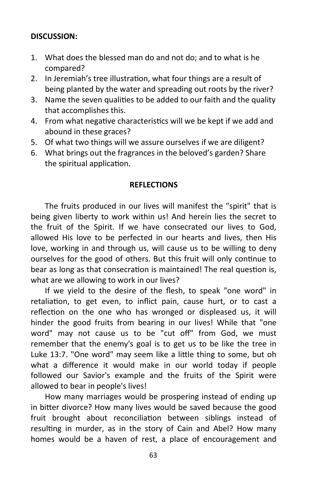# **DISCUSSION:**

- 1. What does the blessed man do and not do; and to what is he compared?
- 2. In Jeremiah's tree illustration, what four things are a result of being planted by the water and spreading out roots by the river?
- 3. Name the seven qualities to be added to our faith and the quality that accomplishes this.
- 4. From what negative characteristics will we be kept if we add and abound in these graces?
- 5. Of what two things will we assure ourselves if we are diligent?
- 6. What brings out the fragrances in the beloved's garden? Share the spiritual application.

# **REFLECTIONS**

The fruits produced in our lives will manifest the "spirit" that is being given liberty to work within us! And herein lies the secret to the fruit of the Spirit. If we have consecrated our lives to God, allowed His love to be perfected in our hearts and lives, then His love, working in and through us, will cause us to be willing to deny ourselves for the good of others. But this fruit will only continue to bear as long as that consecration is maintained! The real question is, what are we allowing to work in our lives?

If we yield to the desire of the flesh, to speak "one word" in retaliation, to get even, to inflict pain, cause hurt, or to cast a reflection on the one who has wronged or displeased us, it will hinder the good fruits from bearing in our lives! While that "one word" may not cause us to be "cut off" from God, we must remember that the enemy's goal is to get us to be like the tree in Luke 13:7. "One word" may seem like a little thing to some, but oh what a difference it would make in our world today if people followed our Savior's example and the fruits of the Spirit were allowed to bear in people's lives!

How many marriages would be prospering instead of ending up in bitter divorce? How many lives would be saved because the good fruit brought about reconciliation between siblings instead of resulting in murder, as in the story of Cain and Abel? How many homes would be a haven of rest, a place of encouragement and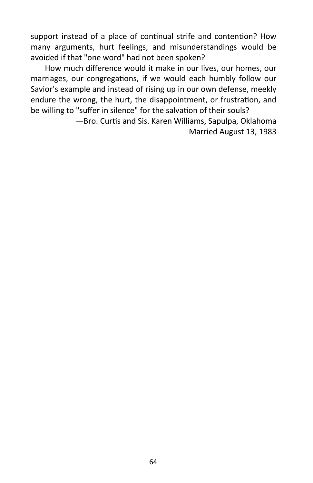support instead of a place of continual strife and contention? How many arguments, hurt feelings, and misunderstandings would be avoided if that "one word" had not been spoken?

How much difference would it make in our lives, our homes, our marriages, our congregations, if we would each humbly follow our Savior's example and instead of rising up in our own defense, meekly endure the wrong, the hurt, the disappointment, or frustration, and be willing to "suffer in silence" for the salvation of their souls?

> —Bro. Curtis and Sis. Karen Williams, Sapulpa, Oklahoma Married August 13, 1983